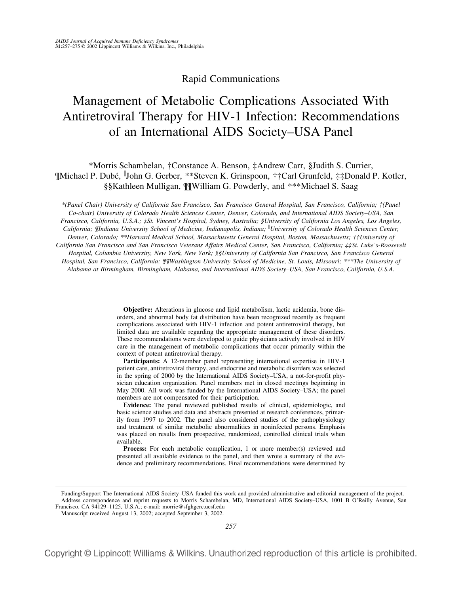# Rapid Communications

# Management of Metabolic Complications Associated With Antiretroviral Therapy for HIV-1 Infection: Recommendations of an International AIDS Society–USA Panel

\*Morris Schambelan, †Constance A. Benson, ‡Andrew Carr, §Judith S. Currier, ¶Michael P. Dubé, John G. Gerber, \*\*Steven K. Grinspoon, ††Carl Grunfeld, ‡‡Donald P. Kotler, §§Kathleen Mulligan, ¶¶William G. Powderly, and \*\*\*Michael S. Saag

*\*(Panel Chair) University of California San Francisco, San Francisco General Hospital, San Francisco, California; †(Panel Co-chair) University of Colorado Health Sciences Center, Denver, Colorado, and International AIDS Society–USA, San Francisco, California, U.S.A.; ‡St. Vincent's Hospital, Sydney, Australia; §University of California Los Angeles, Los Angeles, California; ¶Indiana University School of Medicine, Indianapolis, Indiana; University of Colorado Health Sciences Center, Denver, Colorado; \*\*Harvard Medical School, Massachusetts General Hospital, Boston, Massachusetts; ††University of California San Francisco and San Francisco Veterans Affairs Medical Center, San Francisco, California; ‡‡St. Luke's-Roosevelt Hospital, Columbia University, New York, New York; §§University of California San Francisco, San Francisco General Hospital, San Francisco, California; ¶¶Washington University School of Medicine, St. Louis, Missouri; \*\*\*The University of Alabama at Birmingham, Birmingham, Alabama, and International AIDS Society–USA, San Francisco, California, U.S.A.*

> **Objective:** Alterations in glucose and lipid metabolism, lactic acidemia, bone disorders, and abnormal body fat distribution have been recognized recently as frequent complications associated with HIV-1 infection and potent antiretroviral therapy, but limited data are available regarding the appropriate management of these disorders. These recommendations were developed to guide physicians actively involved in HIV care in the management of metabolic complications that occur primarily within the context of potent antiretroviral therapy.

> **Participants:** A 12-member panel representing international expertise in HIV-1 patient care, antiretroviral therapy, and endocrine and metabolic disorders was selected in the spring of 2000 by the International AIDS Society–USA, a not-for-profit physician education organization. Panel members met in closed meetings beginning in May 2000. All work was funded by the International AIDS Society–USA; the panel members are not compensated for their participation.

> **Evidence:** The panel reviewed published results of clinical, epidemiologic, and basic science studies and data and abstracts presented at research conferences, primarily from 1997 to 2002. The panel also considered studies of the pathophysiology and treatment of similar metabolic abnormalities in noninfected persons. Emphasis was placed on results from prospective, randomized, controlled clinical trials when available.

> Process: For each metabolic complication, 1 or more member(s) reviewed and presented all available evidence to the panel, and then wrote a summary of the evidence and preliminary recommendations. Final recommendations were determined by

Manuscript received August 13, 2002; accepted September 3, 2002.

Funding/Support The International AIDS Society–USA funded this work and provided administrative and editorial management of the project. Address correspondence and reprint requests to Morris Schambelan, MD, International AIDS Society–USA, 1001 B O'Reilly Avenue, San Francisco, CA 94129–1125, U.S.A.; e-mail: morrie@sfghgcrc.ucsf.edu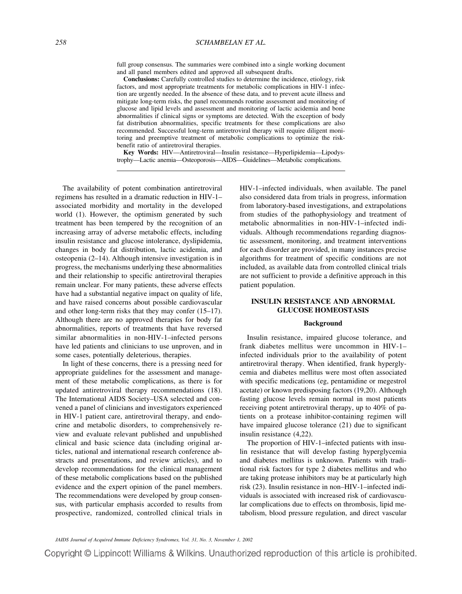full group consensus. The summaries were combined into a single working document and all panel members edited and approved all subsequent drafts.

**Conclusions:** Carefully controlled studies to determine the incidence, etiology, risk factors, and most appropriate treatments for metabolic complications in HIV-1 infection are urgently needed. In the absence of these data, and to prevent acute illness and mitigate long-term risks, the panel recommends routine assessment and monitoring of glucose and lipid levels and assessment and monitoring of lactic acidemia and bone abnormalities if clinical signs or symptoms are detected. With the exception of body fat distribution abnormalities, specific treatments for these complications are also recommended. Successful long-term antiretroviral therapy will require diligent monitoring and preemptive treatment of metabolic complications to optimize the riskbenefit ratio of antiretroviral therapies.

**Key Words:** HIV—Antiretroviral—Insulin resistance—Hyperlipidemia—Lipodystrophy—Lactic anemia—Osteoporosis—AIDS—Guidelines—Metabolic complications.

The availability of potent combination antiretroviral regimens has resulted in a dramatic reduction in HIV-1– associated morbidity and mortality in the developed world (1). However, the optimism generated by such treatment has been tempered by the recognition of an increasing array of adverse metabolic effects, including insulin resistance and glucose intolerance, dyslipidemia, changes in body fat distribution, lactic acidemia, and osteopenia (2–14). Although intensive investigation is in progress, the mechanisms underlying these abnormalities and their relationship to specific antiretroviral therapies remain unclear. For many patients, these adverse effects have had a substantial negative impact on quality of life, and have raised concerns about possible cardiovascular and other long-term risks that they may confer (15–17). Although there are no approved therapies for body fat abnormalities, reports of treatments that have reversed similar abnormalities in non-HIV-1–infected persons have led patients and clinicians to use unproven, and in some cases, potentially deleterious, therapies.

In light of these concerns, there is a pressing need for appropriate guidelines for the assessment and management of these metabolic complications, as there is for updated antiretroviral therapy recommendations (18). The International AIDS Society–USA selected and convened a panel of clinicians and investigators experienced in HIV-1 patient care, antiretroviral therapy, and endocrine and metabolic disorders, to comprehensively review and evaluate relevant published and unpublished clinical and basic science data (including original articles, national and international research conference abstracts and presentations, and review articles), and to develop recommendations for the clinical management of these metabolic complications based on the published evidence and the expert opinion of the panel members. The recommendations were developed by group consensus, with particular emphasis accorded to results from prospective, randomized, controlled clinical trials in HIV-1–infected individuals, when available. The panel also considered data from trials in progress, information from laboratory-based investigations, and extrapolations from studies of the pathophysiology and treatment of metabolic abnormalities in non-HIV-1–infected individuals. Although recommendations regarding diagnostic assessment, monitoring, and treatment interventions for each disorder are provided, in many instances precise algorithms for treatment of specific conditions are not included, as available data from controlled clinical trials are not sufficient to provide a definitive approach in this patient population.

# **INSULIN RESISTANCE AND ABNORMAL GLUCOSE HOMEOSTASIS**

#### **Background**

Insulin resistance, impaired glucose tolerance, and frank diabetes mellitus were uncommon in HIV-1– infected individuals prior to the availability of potent antiretroviral therapy. When identified, frank hyperglycemia and diabetes mellitus were most often associated with specific medications (eg, pentamidine or megestrol acetate) or known predisposing factors (19,20). Although fasting glucose levels remain normal in most patients receiving potent antiretroviral therapy, up to 40% of patients on a protease inhibitor-containing regimen will have impaired glucose tolerance (21) due to significant insulin resistance (4,22).

The proportion of HIV-1–infected patients with insulin resistance that will develop fasting hyperglycemia and diabetes mellitus is unknown. Patients with traditional risk factors for type 2 diabetes mellitus and who are taking protease inhibitors may be at particularly high risk (23). Insulin resistance in non–HIV-1–infected individuals is associated with increased risk of cardiovascular complications due to effects on thrombosis, lipid metabolism, blood pressure regulation, and direct vascular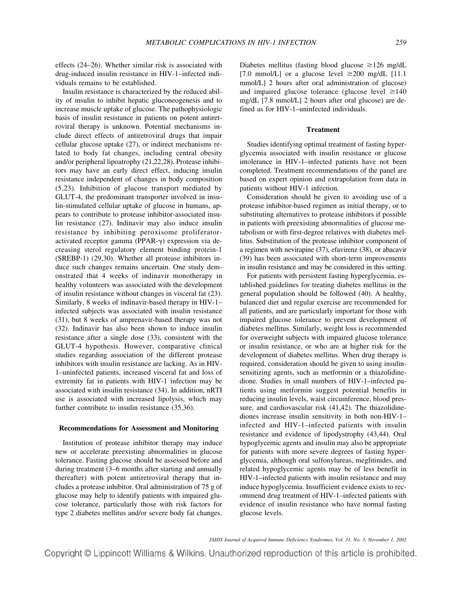effects (24–26). Whether similar risk is associated with drug-induced insulin resistance in HIV-1–infected individuals remains to be established.

Insulin resistance is characterized by the reduced ability of insulin to inhibit hepatic gluconeogenesis and to increase muscle uptake of glucose. The pathophysiologic basis of insulin resistance in patients on potent antiretroviral therapy is unknown. Potential mechanisms include direct effects of antiretroviral drugs that impair cellular glucose uptake (27), or indirect mechanisms related to body fat changes, including central obesity and/or peripheral lipoatrophy (21,22,28). Protease inhibitors may have an early direct effect, inducing insulin resistance independent of changes in body composition (5,23). Inhibition of glucose transport mediated by GLUT-4, the predominant transporter involved in insulin-stimulated cellular uptake of glucose in humans, appears to contribute to protease inhibitor-associated insulin resistance (27). Indinavir may also induce insulin resistance by inhibiting peroxisome proliferatoractivated receptor gamma (PPAR- $\gamma$ ) expression via decreasing sterol regulatory element binding protein-1 (SREBP-1) (29,30). Whether all protease inhibitors induce such changes remains uncertain. One study demonstrated that 4 weeks of indinavir monotherapy in healthy volunteers was associated with the development of insulin resistance without changes in visceral fat (23). Similarly, 8 weeks of indinavir-based therapy in HIV-1– infected subjects was associated with insulin resistance (31), but 8 weeks of amprenavir-based therapy was not (32). Indinavir has also been shown to induce insulin resistance after a single dose (33), consistent with the GLUT-4 hypothesis. However, comparative clinical studies regarding association of the different protease inhibitors with insulin resistance are lacking. As in HIV-1–uninfected patients, increased visceral fat and loss of extremity fat in patients with HIV-1 infection may be associated with insulin resistance (34). In addition, nRTI use is associated with increased lipolysis, which may further contribute to insulin resistance (35,36).

#### **Recommendations for Assessment and Monitoring**

Institution of protease inhibitor therapy may induce new or accelerate preexisting abnormalities in glucose tolerance. Fasting glucose should be assessed before and during treatment (3–6 months after starting and annually thereafter) with potent antiretroviral therapy that includes a protease inhibitor. Oral administration of 75 g of glucose may help to identify patients with impaired glucose tolerance, particularly those with risk factors for type 2 diabetes mellitus and/or severe body fat changes.

Diabetes mellitus (fasting blood glucose  $\geq$ 126 mg/dL [7.0 mmol/L] or a glucose level  $\geq$ 200 mg/dL [11.1] mmol/L] 2 hours after oral administration of glucose) and impaired glucose tolerance (glucose level  $\geq 140$ mg/dL [7.8 mmol/L] 2 hours after oral glucose) are defined as for HIV-1–uninfected individuals.

# **Treatment**

Studies identifying optimal treatment of fasting hyperglycemia associated with insulin resistance or glucose intolerance in HIV-1–infected patients have not been completed. Treatment recommendations of the panel are based on expert opinion and extrapolation from data in patients without HIV-1 infection.

Consideration should be given to avoiding use of a protease inhibitor-based regimen as initial therapy, or to substituting alternatives to protease inhibitors if possible in patients with preexisting abnormalities of glucose metabolism or with first-degree relatives with diabetes mellitus. Substitution of the protease inhibitor component of a regimen with nevirapine (37), efavirenz (38), or abacavir (39) has been associated with short-term improvements in insulin resistance and may be considered in this setting.

For patients with persistent fasting hyperglycemia, established guidelines for treating diabetes mellitus in the general population should be followed (40). A healthy, balanced diet and regular exercise are recommended for all patients, and are particularly important for those with impaired glucose tolerance to prevent development of diabetes mellitus. Similarly, weight loss is recommended for overweight subjects with impaired glucose tolerance or insulin resistance, or who are at higher risk for the development of diabetes mellitus. When drug therapy is required, consideration should be given to using insulinsensitizing agents, such as metformin or a thiazolidinedione. Studies in small numbers of HIV-1–infected patients using metformin suggest potential benefits in reducing insulin levels, waist circumference, blood pressure, and cardiovascular risk (41,42). The thiazolidinediones increase insulin sensitivity in both non-HIV-1– infected and HIV-1–infected patients with insulin resistance and evidence of lipodystrophy (43,44). Oral hypoglycemic agents and insulin may also be appropriate for patients with more severe degrees of fasting hyperglycemia, although oral sulfonylureas, meglitinides, and related hypoglycemic agents may be of less benefit in HIV-1–infected patients with insulin resistance and may induce hypoglycemia. Insufficient evidence exists to recommend drug treatment of HIV-1–infected patients with evidence of insulin resistance who have normal fasting glucose levels.

*JAIDS Journal of Acquired Immune Deficiency Syndromes, Vol. 31, No. 3, November 1, 2002*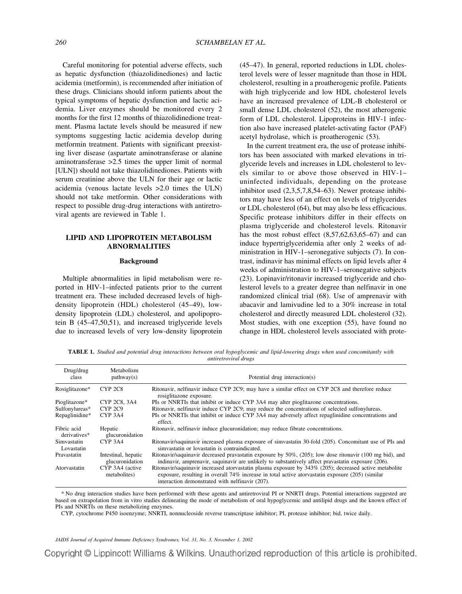Careful monitoring for potential adverse effects, such as hepatic dysfunction (thiazolidinediones) and lactic acidemia (metformin), is recommended after initiation of these drugs. Clinicians should inform patients about the typical symptoms of hepatic dysfunction and lactic acidemia. Liver enzymes should be monitored every 2 months for the first 12 months of thiazolidinedione treatment. Plasma lactate levels should be measured if new symptoms suggesting lactic acidemia develop during metformin treatment. Patients with significant preexisting liver disease (aspartate aminotransferase or alanine aminotransferase >2.5 times the upper limit of normal [ULN]) should not take thiazolidinediones. Patients with serum creatinine above the ULN for their age or lactic acidemia (venous lactate levels >2.0 times the ULN) should not take metformin. Other considerations with respect to possible drug-drug interactions with antiretroviral agents are reviewed in Table 1.

# **LIPID AND LIPOPROTEIN METABOLISM ABNORMALITIES**

# **Background**

Multiple abnormalities in lipid metabolism were reported in HIV-1–infected patients prior to the current treatment era. These included decreased levels of highdensity lipoprotein (HDL) cholesterol (45–49), lowdensity lipoprotein (LDL) cholesterol, and apolipoprotein B (45–47,50,51), and increased triglyceride levels due to increased levels of very low-density lipoprotein (45–47). In general, reported reductions in LDL cholesterol levels were of lesser magnitude than those in HDL cholesterol, resulting in a proatherogenic profile. Patients with high triglyceride and low HDL cholesterol levels have an increased prevalence of LDL-B cholesterol or small dense LDL cholesterol (52), the most atherogenic form of LDL cholesterol. Lipoproteins in HIV-1 infection also have increased platelet-activating factor (PAF) acetyl hydrolase, which is proatherogenic (53).

In the current treatment era, the use of protease inhibitors has been associated with marked elevations in triglyceride levels and increases in LDL cholesterol to levels similar to or above those observed in HIV-1– uninfected individuals, depending on the protease inhibitor used (2,3,5,7,8,54–63). Newer protease inhibitors may have less of an effect on levels of triglycerides or LDL cholesterol (64), but may also be less efficacious. Specific protease inhibitors differ in their effects on plasma triglyceride and cholesterol levels. Ritonavir has the most robust effect  $(8,57,62,63,65–67)$  and can induce hypertriglyceridemia after only 2 weeks of administration in HIV-1–seronegative subjects (7). In contrast, indinavir has minimal effects on lipid levels after 4 weeks of administration to HIV-1–seronegative subjects (23). Lopinavir/ritonavir increased triglyceride and cholesterol levels to a greater degree than nelfinavir in one randomized clinical trial (68). Use of amprenavir with abacavir and lamivudine led to a 30% increase in total cholesterol and directly measured LDL cholesterol (32). Most studies, with one exception (55), have found no change in HDL cholesterol levels associated with prote-

**TABLE 1.** *Studied and potential drug interactions between oral hypoglycemic and lipid-lowering drugs when used concomitantly with antiretroviral drugs*

| Drug/drug<br>class          | Metabolism<br>pathway(s)               | Potential drug interaction(s)                                                                                                                                                                                                                                 |
|-----------------------------|----------------------------------------|---------------------------------------------------------------------------------------------------------------------------------------------------------------------------------------------------------------------------------------------------------------|
| Rosiglitazone*              | CYP <sub>2C8</sub>                     | Ritonavir, nelfinavir induce CYP 2C9; may have a similar effect on CYP 2C8 and therefore reduce<br>rosiglitazone exposure.                                                                                                                                    |
| Pioglitazone*               | CYP 2C8, 3A4                           | PIs or NNRTIs that inhibit or induce CYP 3A4 may alter pioglitazone concentrations.                                                                                                                                                                           |
| Sulfonylureas*              | CYP <sub>2C9</sub>                     | Ritonavir, nelfinavir induce CYP 2C9; may reduce the concentrations of selected sulfonylureas.                                                                                                                                                                |
| Repaglinidine*              | CYP <sub>3</sub> A <sub>4</sub>        | PIs or NNRTIs that inhibit or induce CYP 3A4 may adversely affect repaglinidine concentrations and<br>effect.                                                                                                                                                 |
| Fibric acid<br>derivatives* | Hepatic<br>glucuronidation             | Ritonavir, nelfinavir induce glucuronidation; may reduce fibrate concentrations.                                                                                                                                                                              |
| Simvastatin<br>Lovastatin   | CYP <sub>3</sub> A <sub>4</sub>        | Ritonavir/saquinavir increased plasma exposure of simvastatin 30-fold (205). Concomitant use of PIs and<br>simvastatin or lovastatin is contraindicated.                                                                                                      |
| Pravastatin                 | Intestinal, hepatic<br>glucuronidation | Ritonavir/saquinavir decreased pravastatin exposure by 50%, (205); low dose ritonavir (100 mg bid), and<br>indinavir, amprenavir, saquinavir are unlikely to substantively affect pravastatin exposure (206).                                                 |
| Atorvastatin                | CYP 3A4 (active<br>metabolites)        | Ritonavir/saquinavir increased atorvastatin plasma exposure by 343% (205); decreased active metabolite<br>exposure, resulting in overall 74% increase in total active atorvastatin exposure (205) (similar<br>interaction demonstrated with nelfinavir (207). |

\* No drug interaction studies have been performed with these agents and antiretroviral PI or NNRTI drugs. Potential interactions suggested are based on extrapolation from in vitro studies delineating the mode of metabolism of oral hypoglycemic and antilipid drugs and the known effect of PIs and NNRTIs on these metabolizing enzymes.

CYP, cytochrome P450 isoenzyme; NNRTI, nonnucleoside reverse transcriptase inhibitor; PI, protease inhibitor; bid, twice daily.

*JAIDS Journal of Acquired Immune Deficiency Syndromes, Vol. 31, No. 3, November 1, 2002*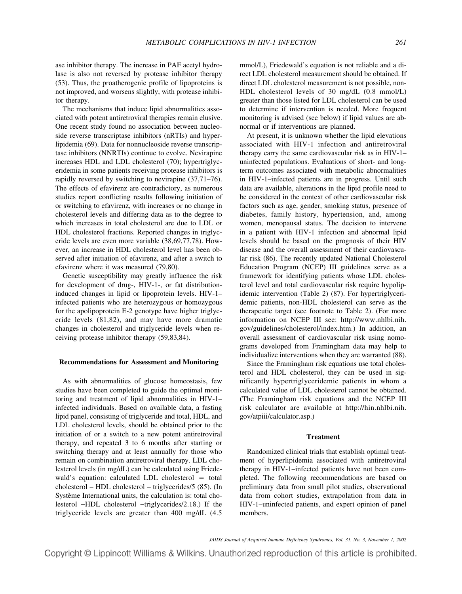ase inhibitor therapy. The increase in PAF acetyl hydrolase is also not reversed by protease inhibitor therapy (53). Thus, the proatherogenic profile of lipoproteins is not improved, and worsens slightly, with protease inhibitor therapy.

The mechanisms that induce lipid abnormalities associated with potent antiretroviral therapies remain elusive. One recent study found no association between nucleoside reverse transcriptase inhibitors (nRTIs) and hyperlipidemia (69). Data for nonnucleoside reverse transcriptase inhibitors (NNRTIs) continue to evolve. Nevirapine increases HDL and LDL cholesterol (70); hypertriglyceridemia in some patients receiving protease inhibitors is rapidly reversed by switching to nevirapine (37,71–76). The effects of efavirenz are contradictory, as numerous studies report conflicting results following initiation of or switching to efavirenz, with increases or no change in cholesterol levels and differing data as to the degree to which increases in total cholesterol are due to LDL or HDL cholesterol fractions. Reported changes in triglyceride levels are even more variable (38,69,77,78). However, an increase in HDL cholesterol level has been observed after initiation of efavirenz, and after a switch to efavirenz where it was measured (79,80).

Genetic susceptibility may greatly influence the risk for development of drug-, HIV-1-, or fat distributioninduced changes in lipid or lipoprotein levels. HIV-1– infected patients who are heterozygous or homozygous for the apolipoprotein E-2 genotype have higher triglyceride levels (81,82), and may have more dramatic changes in cholesterol and triglyceride levels when receiving protease inhibitor therapy (59,83,84).

#### **Recommendations for Assessment and Monitoring**

As with abnormalities of glucose homeostasis, few studies have been completed to guide the optimal monitoring and treatment of lipid abnormalities in HIV-1– infected individuals. Based on available data, a fasting lipid panel, consisting of triglyceride and total, HDL, and LDL cholesterol levels, should be obtained prior to the initiation of or a switch to a new potent antiretroviral therapy, and repeated 3 to 6 months after starting or switching therapy and at least annually for those who remain on combination antiretroviral therapy. LDL cholesterol levels (in mg/dL) can be calculated using Friedewald's equation: calculated LDL cholesterol  $=$  total cholesterol – HDL cholesterol – triglycerides/5 (85). (In Système International units, the calculation is: total cholesterol −HDL cholesterol −triglycerides/2.18.) If the triglyceride levels are greater than 400 mg/dL (4.5

mmol/L), Friedewald's equation is not reliable and a direct LDL cholesterol measurement should be obtained. If direct LDL cholesterol measurement is not possible, non-HDL cholesterol levels of 30 mg/dL (0.8 mmol/L) greater than those listed for LDL cholesterol can be used to determine if intervention is needed. More frequent monitoring is advised (see below) if lipid values are abnormal or if interventions are planned.

At present, it is unknown whether the lipid elevations associated with HIV-1 infection and antiretroviral therapy carry the same cardiovascular risk as in HIV-1– uninfected populations. Evaluations of short- and longterm outcomes associated with metabolic abnormalities in HIV-1–infected patients are in progress. Until such data are available, alterations in the lipid profile need to be considered in the context of other cardiovascular risk factors such as age, gender, smoking status, presence of diabetes, family history, hypertension, and, among women, menopausal status. The decision to intervene in a patient with HIV-1 infection and abnormal lipid levels should be based on the prognosis of their HIV disease and the overall assessment of their cardiovascular risk (86). The recently updated National Cholesterol Education Program (NCEP) III guidelines serve as a framework for identifying patients whose LDL cholesterol level and total cardiovascular risk require hypolipidemic intervention (Table 2) (87). For hypertriglyceridemic patients, non-HDL cholesterol can serve as the therapeutic target (see footnote to Table 2). (For more information on NCEP III see: http://www.nhlbi.nih. gov/guidelines/cholesterol/index.htm.) In addition, an overall assessment of cardiovascular risk using nomograms developed from Framingham data may help to individualize interventions when they are warranted (88).

Since the Framingham risk equations use total cholesterol and HDL cholesterol, they can be used in significantly hypertriglyceridemic patients in whom a calculated value of LDL cholesterol cannot be obtained. (The Framingham risk equations and the NCEP III risk calculator are available at http://hin.nhlbi.nih. gov/atpiii/calculator.asp.)

#### **Treatment**

Randomized clinical trials that establish optimal treatment of hyperlipidemia associated with antiretroviral therapy in HIV-1–infected patients have not been completed. The following recommendations are based on preliminary data from small pilot studies, observational data from cohort studies, extrapolation from data in HIV-1–uninfected patients, and expert opinion of panel members.

*JAIDS Journal of Acquired Immune Deficiency Syndromes, Vol. 31, No. 3, November 1, 2002*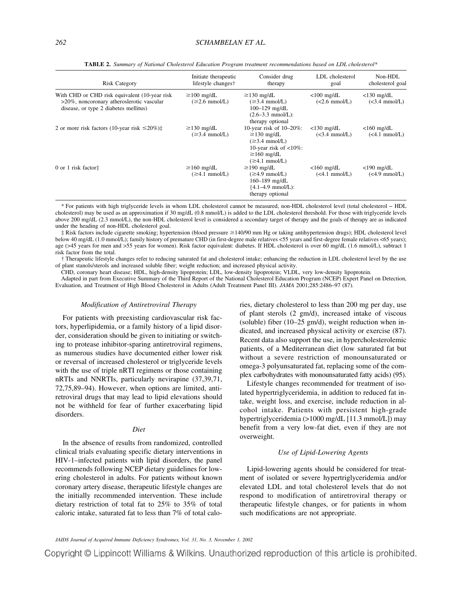| <b>Risk Category</b>                                                                                                                 | Initiate therapeutic<br>lifestyle changes†      | Consider drug<br>therapy                                                                                                                                       | LDL cholesterol<br>goal          | Non-HDL<br>cholesterol goal      |  |
|--------------------------------------------------------------------------------------------------------------------------------------|-------------------------------------------------|----------------------------------------------------------------------------------------------------------------------------------------------------------------|----------------------------------|----------------------------------|--|
| With CHD or CHD risk equivalent (10-year risk)<br>>20%, noncoronary atheroslerotic vascular<br>disease, or type 2 diabetes mellitus) | $\geq$ 100 mg/dL<br>$(\geq 2.6 \text{ mmol/L})$ | $\geq$ 130 mg/dL<br>$(\geq 3.4 \text{ mmol/L})$<br>$100 - 129$ mg/dL<br>$(2.6-3.3 \text{ mmol/L})$ :<br>therapy optional                                       | $<$ 100 mg/dL<br>$(<2.6$ mmol/L) | $<$ 130 mg/dL<br>$(<3.4$ mmol/L) |  |
| 2 or more risk factors (10-year risk $\leq 20\%$ ) $\ddagger$                                                                        | $\geq$ 130 mg/dL<br>$(\geq 3.4 \text{ mmol/L})$ | 10-year risk of $10-20\%$ :<br>$\geq$ 130 mg/dL<br>$(\geq 3.4 \text{ mmol/L})$<br>10-year risk of $<10\%$ :<br>$\geq$ 160 mg/dL<br>$(\geq 4.1 \text{ mmol/L})$ | $<$ 130 mg/dL<br>$(<3.4$ mmol/L) | $<$ 160 mg/dL<br>$(<4.1$ mmol/L) |  |
| 0 or 1 risk factor $\ddagger$                                                                                                        | $\geq$ 160 mg/dL<br>$(\geq 4.1 \text{ mmol/L})$ | $\geq$ 190 mg/dL<br>$(\geq 4.9 \text{ mmol/L})$<br>160–189 mg/dL<br>${4.1-4.9 \text{ mmol/L}}$ :<br>therapy optional                                           | $<$ 160 mg/dL<br>$(<4.1$ mmol/L) | $<$ 190 mg/dL<br>$(<4.9$ mmol/L) |  |

**TABLE 2.** *Summary of National Cholesterol Education Program treatment recommendations based on LDL cholesterol\**

\* For patients with high triglyceride levels in whom LDL cholesterol cannot be measured, non-HDL cholesterol level (total cholesterol − HDL cholesterol) may be used as an approximation if 30 mg/dL (0.8 mmol/L) is added to the LDL cholesterol threshold. For those with triglyceride levels above 200 mg/dL (2.3 mmol/L), the non-HDL cholesterol level is considered a secondary target of therapy and the goals of therapy are as indicated under the heading of non-HDL cholesterol goal.

‡ Risk factors include cigarette smoking; hypertension (blood pressure ≥140/90 mm Hg or taking antihypertension drugs); HDL cholesterol level below 40 mg/dL (1.0 mmol/L); family history of premature CHD (in first-degree male relatives <55 years and first-degree female relatives <65 years); age (>45 years for men and >55 years for women). Risk factor equivalent: diabetes. If HDL cholesterol is over 60 mg/dL (1.6 mmol/L), subtract 1 risk factor from the total.

† Therapeutic lifestyle changes refer to reducing saturated fat and cholesterol intake; enhancing the reduction in LDL cholesterol level by the use of plant stanols/sterols and increased soluble fiber; weight reduction; and increased physical activity.

CHD, coronary heart disease; HDL, high-density lipoprotein; LDL, low-density lipoprotein; VLDL, very low-density lipoprotein.

Adapted in part from Executive Summary of the Third Report of the National Cholesterol Education Program (NCEP) Expert Panel on Detection, Evaluation, and Treatment of High Blood Cholesterol in Adults (Adult Treatment Panel III). *JAMA* 2001;285:2486–97 (87).

#### *Modification of Antiretroviral Therapy*

For patients with preexisting cardiovascular risk factors, hyperlipidemia, or a family history of a lipid disorder, consideration should be given to initiating or switching to protease inhibitor-sparing antiretroviral regimens, as numerous studies have documented either lower risk or reversal of increased cholesterol or triglyceride levels with the use of triple nRTI regimens or those containing nRTIs and NNRTIs, particularly nevirapine (37,39,71, 72,75,89–94). However, when options are limited, antiretroviral drugs that may lead to lipid elevations should not be withheld for fear of further exacerbating lipid disorders.

# *Diet*

In the absence of results from randomized, controlled clinical trials evaluating specific dietary interventions in HIV-1–infected patients with lipid disorders, the panel recommends following NCEP dietary guidelines for lowering cholesterol in adults. For patients without known coronary artery disease, therapeutic lifestyle changes are the initially recommended intervention. These include dietary restriction of total fat to 25% to 35% of total caloric intake, saturated fat to less than 7% of total calories, dietary cholesterol to less than 200 mg per day, use of plant sterols (2 gm/d), increased intake of viscous (soluble) fiber  $(10-25 \text{ gm/d})$ , weight reduction when indicated, and increased physical activity or exercise (87). Recent data also support the use, in hypercholesterolemic patients, of a Mediterranean diet (low saturated fat but without a severe restriction of monounsaturated or omega-3 polyunsaturated fat, replacing some of the complex carbohydrates with monounsaturated fatty acids) (95).

Lifestyle changes recommended for treatment of isolated hypertriglyceridemia, in addition to reduced fat intake, weight loss, and exercise, include reduction in alcohol intake. Patients with persistent high-grade hypertriglyceridemia (>1000 mg/dL [11.3 mmol/L]) may benefit from a very low-fat diet, even if they are not overweight.

#### *Use of Lipid-Lowering Agents*

Lipid-lowering agents should be considered for treatment of isolated or severe hypertriglyceridemia and/or elevated LDL and total cholesterol levels that do not respond to modification of antiretroviral therapy or therapeutic lifestyle changes, or for patients in whom such modifications are not appropriate.

*JAIDS Journal of Acquired Immune Deficiency Syndromes, Vol. 31, No. 3, November 1, 2002*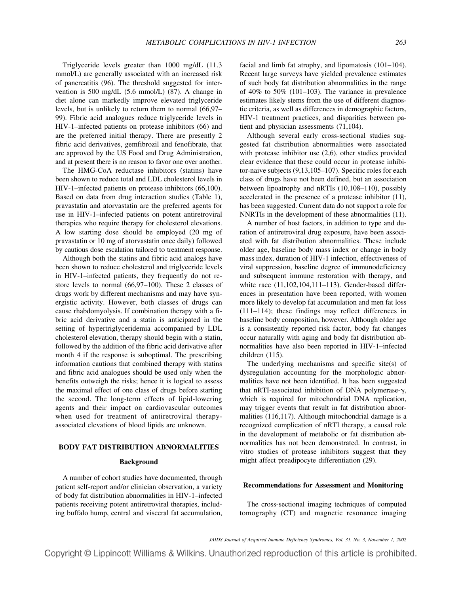Triglyceride levels greater than 1000 mg/dL (11.3 mmol/L) are generally associated with an increased risk of pancreatitis (96). The threshold suggested for intervention is 500 mg/dL (5.6 mmol/L) (87). A change in diet alone can markedly improve elevated triglyceride levels, but is unlikely to return them to normal (66,97– 99). Fibric acid analogues reduce triglyceride levels in HIV-1–infected patients on protease inhibitors (66) and are the preferred initial therapy. There are presently 2 fibric acid derivatives, gemfibrozil and fenofibrate, that are approved by the US Food and Drug Administration, and at present there is no reason to favor one over another.

The HMG-CoA reductase inhibitors (statins) have been shown to reduce total and LDL cholesterol levels in HIV-1–infected patients on protease inhibitors (66,100). Based on data from drug interaction studies (Table 1), pravastatin and atorvastatin are the preferred agents for use in HIV-1–infected patients on potent antiretroviral therapies who require therapy for cholesterol elevations. A low starting dose should be employed (20 mg of pravastatin or 10 mg of atorvastatin once daily) followed by cautious dose escalation tailored to treatment response.

Although both the statins and fibric acid analogs have been shown to reduce cholesterol and triglyceride levels in HIV-1–infected patients, they frequently do not restore levels to normal (66,97–100). These 2 classes of drugs work by different mechanisms and may have synergistic activity. However, both classes of drugs can cause rhabdomyolysis. If combination therapy with a fibric acid derivative and a statin is anticipated in the setting of hypertriglyceridemia accompanied by LDL cholesterol elevation, therapy should begin with a statin, followed by the addition of the fibric acid derivative after month 4 if the response is suboptimal. The prescribing information cautions that combined therapy with statins and fibric acid analogues should be used only when the benefits outweigh the risks; hence it is logical to assess the maximal effect of one class of drugs before starting the second. The long-term effects of lipid-lowering agents and their impact on cardiovascular outcomes when used for treatment of antiretroviral therapyassociated elevations of blood lipids are unknown.

# **BODY FAT DISTRIBUTION ABNORMALITIES**

#### **Background**

A number of cohort studies have documented, through patient self-report and/or clinician observation, a variety of body fat distribution abnormalities in HIV-1–infected patients receiving potent antiretroviral therapies, including buffalo hump, central and visceral fat accumulation,

facial and limb fat atrophy, and lipomatosis (101–104). Recent large surveys have yielded prevalence estimates of such body fat distribution abnormalities in the range of 40% to 50% (101–103). The variance in prevalence estimates likely stems from the use of different diagnostic criteria, as well as differences in demographic factors, HIV-1 treatment practices, and disparities between patient and physician assessments (71,104).

Although several early cross-sectional studies suggested fat distribution abnormalities were associated with protease inhibitor use (2,6), other studies provided clear evidence that these could occur in protease inhibitor-naive subjects (9,13,105–107). Specific roles for each class of drugs have not been defined, but an association between lipoatrophy and nRTIs (10,108–110), possibly accelerated in the presence of a protease inhibitor (11), has been suggested. Current data do not support a role for NNRTIs in the development of these abnormalities (11).

A number of host factors, in addition to type and duration of antiretroviral drug exposure, have been associated with fat distribution abnormalities. These include older age, baseline body mass index or change in body mass index, duration of HIV-1 infection, effectiveness of viral suppression, baseline degree of immunodeficiency and subsequent immune restoration with therapy, and white race (11,102,104,111–113). Gender-based differences in presentation have been reported, with women more likely to develop fat accumulation and men fat loss (111–114); these findings may reflect differences in baseline body composition, however. Although older age is a consistently reported risk factor, body fat changes occur naturally with aging and body fat distribution abnormalities have also been reported in HIV-1–infected children (115).

The underlying mechanisms and specific site(s) of dysregulation accounting for the morphologic abnormalities have not been identified. It has been suggested that nRTI-associated inhibition of DNA polymerase- $\gamma$ , which is required for mitochondrial DNA replication, may trigger events that result in fat distribution abnormalities (116,117). Although mitochondrial damage is a recognized complication of nRTI therapy, a causal role in the development of metabolic or fat distribution abnormalities has not been demonstrated. In contrast, in vitro studies of protease inhibitors suggest that they might affect preadipocyte differentiation (29).

# **Recommendations for Assessment and Monitoring**

The cross-sectional imaging techniques of computed tomography (CT) and magnetic resonance imaging

*JAIDS Journal of Acquired Immune Deficiency Syndromes, Vol. 31, No. 3, November 1, 2002*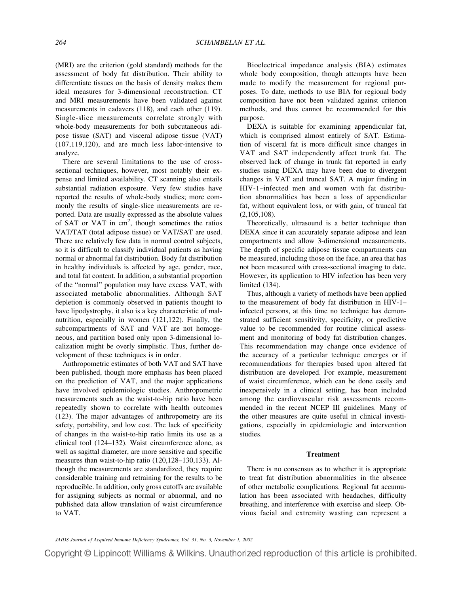(MRI) are the criterion (gold standard) methods for the assessment of body fat distribution. Their ability to differentiate tissues on the basis of density makes them ideal measures for 3-dimensional reconstruction. CT and MRI measurements have been validated against measurements in cadavers (118), and each other (119). Single-slice measurements correlate strongly with whole-body measurements for both subcutaneous adipose tissue (SAT) and visceral adipose tissue (VAT) (107,119,120), and are much less labor-intensive to analyze.

There are several limitations to the use of crosssectional techniques, however, most notably their expense and limited availability. CT scanning also entails substantial radiation exposure. Very few studies have reported the results of whole-body studies; more commonly the results of single-slice measurements are reported. Data are usually expressed as the absolute values of SAT or VAT in  $cm<sup>2</sup>$ , though sometimes the ratios VAT/TAT (total adipose tissue) or VAT/SAT are used. There are relatively few data in normal control subjects, so it is difficult to classify individual patients as having normal or abnormal fat distribution. Body fat distribution in healthy individuals is affected by age, gender, race, and total fat content. In addition, a substantial proportion of the "normal" population may have excess VAT, with associated metabolic abnormalities. Although SAT depletion is commonly observed in patients thought to have lipodystrophy, it also is a key characteristic of malnutrition, especially in women (121,122). Finally, the subcompartments of SAT and VAT are not homogeneous, and partition based only upon 3-dimensional localization might be overly simplistic. Thus, further development of these techniques is in order.

Anthropometric estimates of both VAT and SAT have been published, though more emphasis has been placed on the prediction of VAT, and the major applications have involved epidemiologic studies. Anthropometric measurements such as the waist-to-hip ratio have been repeatedly shown to correlate with health outcomes (123). The major advantages of anthropometry are its safety, portability, and low cost. The lack of specificity of changes in the waist-to-hip ratio limits its use as a clinical tool (124–132). Waist circumference alone, as well as sagittal diameter, are more sensitive and specific measures than waist-to-hip ratio (120,128–130,133). Although the measurements are standardized, they require considerable training and retraining for the results to be reproducible. In addition, only gross cutoffs are available for assigning subjects as normal or abnormal, and no published data allow translation of waist circumference to VAT.

Bioelectrical impedance analysis (BIA) estimates whole body composition, though attempts have been made to modify the measurement for regional purposes. To date, methods to use BIA for regional body composition have not been validated against criterion methods, and thus cannot be recommended for this purpose.

DEXA is suitable for examining appendicular fat, which is comprised almost entirely of SAT. Estimation of visceral fat is more difficult since changes in VAT and SAT independently affect trunk fat. The observed lack of change in trunk fat reported in early studies using DEXA may have been due to divergent changes in VAT and truncal SAT. A major finding in HIV-1–infected men and women with fat distribution abnormalities has been a loss of appendicular fat, without equivalent loss, or with gain, of truncal fat (2,105,108).

Theoretically, ultrasound is a better technique than DEXA since it can accurately separate adipose and lean compartments and allow 3-dimensional measurements. The depth of specific adipose tissue compartments can be measured, including those on the face, an area that has not been measured with cross-sectional imaging to date. However, its application to HIV infection has been very limited (134).

Thus, although a variety of methods have been applied to the measurement of body fat distribution in HIV-1– infected persons, at this time no technique has demonstrated sufficient sensitivity, specificity, or predictive value to be recommended for routine clinical assessment and monitoring of body fat distribution changes. This recommendation may change once evidence of the accuracy of a particular technique emerges or if recommendations for therapies based upon altered fat distribution are developed. For example, measurement of waist circumference, which can be done easily and inexpensively in a clinical setting, has been included among the cardiovascular risk assessments recommended in the recent NCEP III guidelines. Many of the other measures are quite useful in clinical investigations, especially in epidemiologic and intervention studies.

# **Treatment**

There is no consensus as to whether it is appropriate to treat fat distribution abnormalities in the absence of other metabolic complications. Regional fat accumulation has been associated with headaches, difficulty breathing, and interference with exercise and sleep. Obvious facial and extremity wasting can represent a

*JAIDS Journal of Acquired Immune Deficiency Syndromes, Vol. 31, No. 3, November 1, 2002*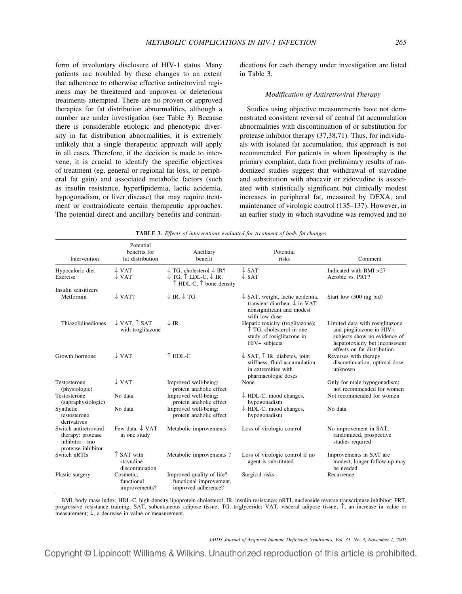form of involuntary disclosure of HIV-1 status. Many patients are troubled by these changes to an extent that adherence to otherwise effective antiretroviral regimens may be threatened and unproven or deleterious treatments attempted. There are no proven or approved therapies for fat distribution abnormalities, although a number are under investigation (see Table 3). Because there is considerable etiologic and phenotypic diversity in fat distribution abnormalities, it is extremely unlikely that a single therapeutic approach will apply in all cases. Therefore, if the decision is made to intervene, it is crucial to identify the specific objectives of treatment (eg, general or regional fat loss, or peripheral fat gain) and associated metabolic factors (such as insulin resistance, hyperlipidemia, lactic acidemia, hypogonadism, or liver disease) that may require treatment or contraindicate certain therapeutic approaches. The potential direct and ancillary benefits and contraindications for each therapy under investigation are listed in Table 3.

## *Modification of Antiretroviral Therapy*

Studies using objective measurements have not demonstrated consistent reversal of central fat accumulation abnormalities with discontinuation of or substitution for protease inhibitor therapy (37,38,71). Thus, for individuals with isolated fat accumulation, this approach is not recommended. For patients in whom lipoatrophy is the primary complaint, data from preliminary results of randomized studies suggest that withdrawal of stavudine and substitution with abacavir or zidovudine is associated with statistically significant but clinically modest increases in peripheral fat, measured by DEXA, and maintenance of virologic control (135–137). However, in an earlier study in which stavudine was removed and no

| Intervention                                                                                   | Potential<br>benefits for<br>fat distribution         | Ancillary<br>benefit                                                                                                            | Potential<br>risks                                                                                                                  | Comment                                                                                                                                                       |
|------------------------------------------------------------------------------------------------|-------------------------------------------------------|---------------------------------------------------------------------------------------------------------------------------------|-------------------------------------------------------------------------------------------------------------------------------------|---------------------------------------------------------------------------------------------------------------------------------------------------------------|
| Hypocaloric diet<br>Exercise                                                                   | $\downarrow$ VAT<br>$\downarrow$ VAT                  | $\downarrow$ TG, cholesterol $\downarrow$ IR?<br>$\downarrow$ TG, $\uparrow$ LDL-C, $\downarrow$ IR,<br>↑ HDL-C, ↑ bone density | $\downarrow$ SAT<br>$\downarrow$ SAT                                                                                                | Indicated with BMI >27<br>Aerobic vs. PRT?                                                                                                                    |
| Insulin sensitizers<br>Metformin                                                               | $\downarrow$ VAT?                                     | $\downarrow$ IR, $\downarrow$ TG                                                                                                | $\downarrow$ SAT, weight, lactic acidemia,<br>transient diarrhea; $\downarrow$ in VAT<br>nonsignificant and modest<br>with low dose | Start low (500 mg bid)                                                                                                                                        |
| Thiazolidinediones                                                                             | $\downarrow$ VAT. $\uparrow$ SAT<br>with troglitazone | $\downarrow$ IR                                                                                                                 | Hepatic toxicity (troglitazone);<br>TG, cholesterol in one<br>study of rosiglitazone in<br>HIV+ subjects                            | Limited data with rosiglitazone<br>and pioglitazone in HIV+<br>subjects show no evidence of<br>hepatotoxicity but inconsistent<br>effects on fat distribution |
| Growth hormone                                                                                 | $\downarrow$ VAT                                      | $\uparrow$ HDL-C                                                                                                                | $\downarrow$ SAT, $\uparrow$ IR, diabetes, joint<br>stiffness, fluid accumulation<br>in extremities with<br>pharmacologic doses     | Reverses with therapy<br>discontinuation, optimal dose<br>unknown                                                                                             |
| Testosterone<br>(physiologic)                                                                  | $\downarrow$ VAT                                      | Improved well-being;<br>protein anabolic effect                                                                                 | None                                                                                                                                | Only for male hypogonadism;<br>not recommended for women                                                                                                      |
| Testosterone<br>(supraphysiologic)                                                             | No data                                               | Improved well-being;<br>protein anabolic effect                                                                                 | $\downarrow$ HDL-C, mood changes,<br>hypogonadism                                                                                   | Not recommended for women                                                                                                                                     |
| Synthetic<br>testosterone<br>derivatives                                                       | No data                                               | Improved well-being;<br>protein anabolic effect                                                                                 | $\downarrow$ HDL-C, mood changes,<br>hypogonadism                                                                                   | No data                                                                                                                                                       |
| Switch antiretroviral<br>therapy: protease<br>inhibitor $\rightarrow$ no<br>protease inhibitor | Few data, $\downarrow$ VAT<br>in one study            | Metabolic improvements                                                                                                          | Loss of virologic control                                                                                                           | No improvement in SAT;<br>randomized, prospective<br>studies required                                                                                         |
| Switch nRTIs                                                                                   | $\uparrow$ SAT with<br>stavudine<br>discontinuation   | Metabolic improvements?                                                                                                         | Loss of virologic control if no<br>agent is substituted                                                                             | Improvements in SAT are<br>modest; longer follow-up may<br>be needed                                                                                          |
| Plastic surgery                                                                                | Cosmetic;<br>functional<br>improvements?              | Improved quality of life?<br>functional improvement,<br>improved adherence?                                                     | Surgical risks                                                                                                                      | Recurrence                                                                                                                                                    |

|  | TABLE 3. Effects of interventions evaluated for treatment of body fat changes |  |  |  |  |
|--|-------------------------------------------------------------------------------|--|--|--|--|
|  |                                                                               |  |  |  |  |

BMI, body mass index; HDL-C, high-density lipoprotein cholesterol; IR, insulin resistance; nRTI, nucleoside reverse transcriptase inhibitor; PRT, progressive resistance training; SAT, subcutaneous adipose tissue; TG, triglyceride; VAT, visceral adipose tissue; ↑, an increase in value or measurement;  $\downarrow$ , a decrease in value or measurement.

*JAIDS Journal of Acquired Immune Deficiency Syndromes, Vol. 31, No. 3, November 1, 2002*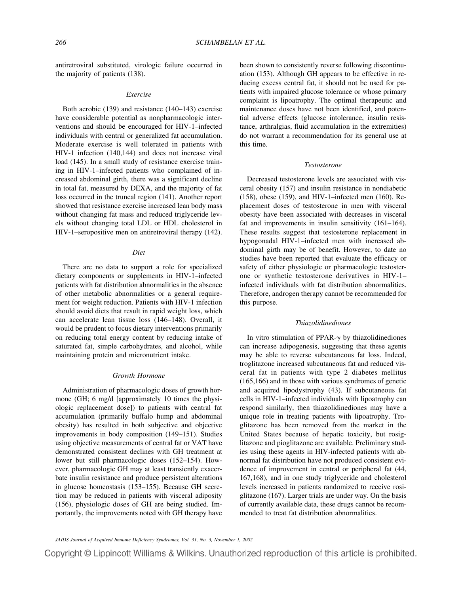antiretroviral substituted, virologic failure occurred in the majority of patients (138).

#### *Exercise*

Both aerobic (139) and resistance (140–143) exercise have considerable potential as nonpharmacologic interventions and should be encouraged for HIV-1–infected individuals with central or generalized fat accumulation. Moderate exercise is well tolerated in patients with HIV-1 infection (140,144) and does not increase viral load (145). In a small study of resistance exercise training in HIV-1–infected patients who complained of increased abdominal girth, there was a significant decline in total fat, measured by DEXA, and the majority of fat loss occurred in the truncal region (141). Another report showed that resistance exercise increased lean body mass without changing fat mass and reduced triglyceride levels without changing total LDL or HDL cholesterol in HIV-1–seropositive men on antiretroviral therapy (142).

# *Diet*

There are no data to support a role for specialized dietary components or supplements in HIV-1–infected patients with fat distribution abnormalities in the absence of other metabolic abnormalities or a general requirement for weight reduction. Patients with HIV-1 infection should avoid diets that result in rapid weight loss, which can accelerate lean tissue loss (146–148). Overall, it would be prudent to focus dietary interventions primarily on reducing total energy content by reducing intake of saturated fat, simple carbohydrates, and alcohol, while maintaining protein and micronutrient intake.

#### *Growth Hormone*

Administration of pharmacologic doses of growth hormone (GH; 6 mg/d [approximately 10 times the physiologic replacement dose]) to patients with central fat accumulation (primarily buffalo hump and abdominal obesity) has resulted in both subjective and objective improvements in body composition (149–151). Studies using objective measurements of central fat or VAT have demonstrated consistent declines with GH treatment at lower but still pharmacologic doses (152–154). However, pharmacologic GH may at least transiently exacerbate insulin resistance and produce persistent alterations in glucose homeostasis (153–155). Because GH secretion may be reduced in patients with visceral adiposity (156), physiologic doses of GH are being studied. Importantly, the improvements noted with GH therapy have

been shown to consistently reverse following discontinuation (153). Although GH appears to be effective in reducing excess central fat, it should not be used for patients with impaired glucose tolerance or whose primary complaint is lipoatrophy. The optimal therapeutic and maintenance doses have not been identified, and potential adverse effects (glucose intolerance, insulin resistance, arthralgias, fluid accumulation in the extremities) do not warrant a recommendation for its general use at this time.

# *Testosterone*

Decreased testosterone levels are associated with visceral obesity (157) and insulin resistance in nondiabetic (158), obese (159), and HIV-1–infected men (160). Replacement doses of testosterone in men with visceral obesity have been associated with decreases in visceral fat and improvements in insulin sensitivity (161–164). These results suggest that testosterone replacement in hypogonadal HIV-1–infected men with increased abdominal girth may be of benefit. However, to date no studies have been reported that evaluate the efficacy or safety of either physiologic or pharmacologic testosterone or synthetic testosterone derivatives in HIV-1– infected individuals with fat distribution abnormalities. Therefore, androgen therapy cannot be recommended for this purpose.

# *Thiazolidinediones*

In vitro stimulation of PPAR- $\gamma$  by thiazolidinediones can increase adipogenesis, suggesting that these agents may be able to reverse subcutaneous fat loss. Indeed, troglitazone increased subcutaneous fat and reduced visceral fat in patients with type 2 diabetes mellitus (165,166) and in those with various syndromes of genetic and acquired lipodystrophy (43). If subcutaneous fat cells in HIV-1–infected individuals with lipoatrophy can respond similarly, then thiazolidinediones may have a unique role in treating patients with lipoatrophy. Troglitazone has been removed from the market in the United States because of hepatic toxicity, but rosiglitazone and pioglitazone are available. Preliminary studies using these agents in HIV-infected patients with abnormal fat distribution have not produced consistent evidence of improvement in central or peripheral fat (44, 167,168), and in one study triglyceride and cholesterol levels increased in patients randomized to receive rosiglitazone (167). Larger trials are under way. On the basis of currently available data, these drugs cannot be recommended to treat fat distribution abnormalities.

*JAIDS Journal of Acquired Immune Deficiency Syndromes, Vol. 31, No. 3, November 1, 2002*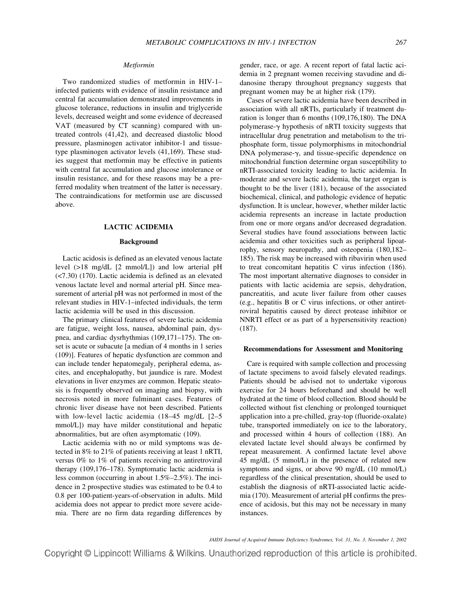# *Metformin*

Two randomized studies of metformin in HIV-1– infected patients with evidence of insulin resistance and central fat accumulation demonstrated improvements in glucose tolerance, reductions in insulin and triglyceride levels, decreased weight and some evidence of decreased VAT (measured by CT scanning) compared with untreated controls (41,42), and decreased diastolic blood pressure, plasminogen activator inhibitor-1 and tissuetype plasminogen activator levels (41,169). These studies suggest that metformin may be effective in patients with central fat accumulation and glucose intolerance or insulin resistance, and for these reasons may be a preferred modality when treatment of the latter is necessary. The contraindications for metformin use are discussed above.

#### **LACTIC ACIDEMIA**

#### **Background**

Lactic acidosis is defined as an elevated venous lactate level (>18 mg/dL [2 mmol/L]) and low arterial pH (<7.30) (170). Lactic acidemia is defined as an elevated venous lactate level and normal arterial pH. Since measurement of arterial pH was not performed in most of the relevant studies in HIV-1–infected individuals, the term lactic acidemia will be used in this discussion.

The primary clinical features of severe lactic acidemia are fatigue, weight loss, nausea, abdominal pain, dyspnea, and cardiac dysrhythmias (109,171–175). The onset is acute or subacute [a median of 4 months in 1 series (109)]. Features of hepatic dysfunction are common and can include tender hepatomegaly, peripheral edema, ascites, and encephalopathy, but jaundice is rare. Modest elevations in liver enzymes are common. Hepatic steatosis is frequently observed on imaging and biopsy, with necrosis noted in more fulminant cases. Features of chronic liver disease have not been described. Patients with low-level lactic acidemia (18–45 mg/dL [2–5] mmol/L]) may have milder constitutional and hepatic abnormalities, but are often asymptomatic (109).

Lactic acidemia with no or mild symptoms was detected in 8% to 21% of patients receiving at least 1 nRTI, versus 0% to 1% of patients receiving no antiretroviral therapy (109,176–178). Symptomatic lactic acidemia is less common (occurring in about 1.5%–2.5%). The incidence in 2 prospective studies was estimated to be 0.4 to 0.8 per 100-patient-years-of-observation in adults. Mild acidemia does not appear to predict more severe acidemia. There are no firm data regarding differences by

gender, race, or age. A recent report of fatal lactic acidemia in 2 pregnant women receiving stavudine and didanosine therapy throughout pregnancy suggests that pregnant women may be at higher risk (179).

Cases of severe lactic acidemia have been described in association with all nRTIs, particularly if treatment duration is longer than 6 months (109,176,180). The DNA polymerase- $\gamma$  hypothesis of nRTI toxicity suggests that intracellular drug penetration and metabolism to the triphosphate form, tissue polymorphisms in mitochondrial  $DNA$  polymerase- $\gamma$ , and tissue-specific dependence on mitochondrial function determine organ susceptibility to nRTI-associated toxicity leading to lactic acidemia. In moderate and severe lactic acidemia, the target organ is thought to be the liver (181), because of the associated biochemical, clinical, and pathologic evidence of hepatic dysfunction. It is unclear, however, whether milder lactic acidemia represents an increase in lactate production from one or more organs and/or decreased degradation. Several studies have found associations between lactic acidemia and other toxicities such as peripheral lipoatrophy, sensory neuropathy, and osteopenia (180,182– 185). The risk may be increased with ribavirin when used to treat concomitant hepatitis C virus infection (186). The most important alternative diagnoses to consider in patients with lactic acidemia are sepsis, dehydration, pancreatitis, and acute liver failure from other causes (e.g., hepatitis B or C virus infections, or other antiretroviral hepatitis caused by direct protease inhibitor or NNRTI effect or as part of a hypersensitivity reaction) (187).

#### **Recommendations for Assessment and Monitoring**

Care is required with sample collection and processing of lactate specimens to avoid falsely elevated readings. Patients should be advised not to undertake vigorous exercise for 24 hours beforehand and should be well hydrated at the time of blood collection. Blood should be collected without fist clenching or prolonged tourniquet application into a pre-chilled, gray-top (fluoride-oxalate) tube, transported immediately on ice to the laboratory, and processed within 4 hours of collection (188). An elevated lactate level should always be confirmed by repeat measurement. A confirmed lactate level above 45 mg/dL (5 mmol/L) in the presence of related new symptoms and signs, or above 90 mg/dL (10 mmol/L) regardless of the clinical presentation, should be used to establish the diagnosis of nRTI-associated lactic acidemia (170). Measurement of arterial pH confirms the presence of acidosis, but this may not be necessary in many instances.

*JAIDS Journal of Acquired Immune Deficiency Syndromes, Vol. 31, No. 3, November 1, 2002*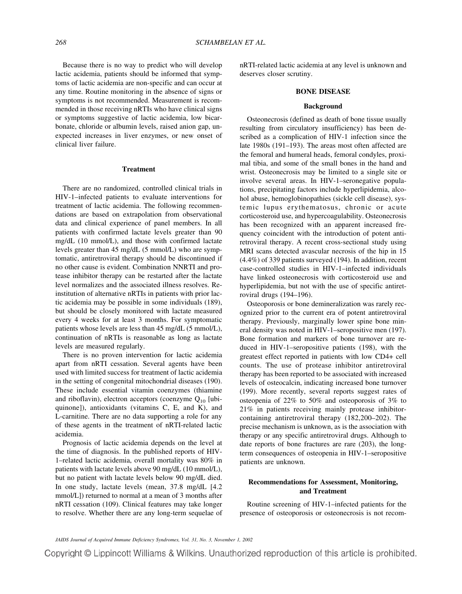Because there is no way to predict who will develop lactic acidemia, patients should be informed that symptoms of lactic acidemia are non-specific and can occur at any time. Routine monitoring in the absence of signs or symptoms is not recommended. Measurement is recommended in those receiving nRTIs who have clinical signs or symptoms suggestive of lactic acidemia, low bicarbonate, chloride or albumin levels, raised anion gap, unexpected increases in liver enzymes, or new onset of clinical liver failure.

### **Treatment**

There are no randomized, controlled clinical trials in HIV-1–infected patients to evaluate interventions for treatment of lactic acidemia. The following recommendations are based on extrapolation from observational data and clinical experience of panel members. In all patients with confirmed lactate levels greater than 90 mg/dL (10 mmol/L), and those with confirmed lactate levels greater than 45 mg/dL (5 mmol/L) who are symptomatic, antiretroviral therapy should be discontinued if no other cause is evident. Combination NNRTI and protease inhibitor therapy can be restarted after the lactate level normalizes and the associated illness resolves. Reinstitution of alternative nRTIs in patients with prior lactic acidemia may be possible in some individuals (189), but should be closely monitored with lactate measured every 4 weeks for at least 3 months. For symptomatic patients whose levels are less than 45 mg/dL (5 mmol/L), continuation of nRTIs is reasonable as long as lactate levels are measured regularly.

There is no proven intervention for lactic acidemia apart from nRTI cessation. Several agents have been used with limited success for treatment of lactic acidemia in the setting of congenital mitochondrial diseases (190). These include essential vitamin coenzymes (thiamine and riboflavin), electron acceptors (coenzyme  $Q_{10}$  [ubiquinone]), antioxidants (vitamins C, E, and K), and L-carnitine. There are no data supporting a role for any of these agents in the treatment of nRTI-related lactic acidemia.

Prognosis of lactic acidemia depends on the level at the time of diagnosis. In the published reports of HIV-1–related lactic acidemia, overall mortality was 80% in patients with lactate levels above 90 mg/dL (10 mmol/L), but no patient with lactate levels below 90 mg/dL died. In one study, lactate levels (mean, 37.8 mg/dL [4.2 mmol/L]) returned to normal at a mean of 3 months after nRTI cessation (109). Clinical features may take longer to resolve. Whether there are any long-term sequelae of

nRTI-related lactic acidemia at any level is unknown and deserves closer scrutiny.

# **BONE DISEASE**

# **Background**

Osteonecrosis (defined as death of bone tissue usually resulting from circulatory insufficiency) has been described as a complication of HIV-1 infection since the late 1980s (191–193). The areas most often affected are the femoral and humeral heads, femoral condyles, proximal tibia, and some of the small bones in the hand and wrist. Osteonecrosis may be limited to a single site or involve several areas. In HIV-1–seronegative populations, precipitating factors include hyperlipidemia, alcohol abuse, hemoglobinopathies (sickle cell disease), systemic lupus erythematosus, chronic or acute corticosteroid use, and hypercoagulability. Osteonecrosis has been recognized with an apparent increased frequency coincident with the introduction of potent antiretroviral therapy. A recent cross-sectional study using MRI scans detected avascular necrosis of the hip in 15 (4.4%) of 339 patients surveyed (194). In addition, recent case-controlled studies in HIV-1–infected individuals have linked osteonecrosis with corticosteroid use and hyperlipidemia, but not with the use of specific antiretroviral drugs (194–196).

Osteoporosis or bone demineralization was rarely recognized prior to the current era of potent antiretroviral therapy. Previously, marginally lower spine bone mineral density was noted in HIV-1–seropositive men (197). Bone formation and markers of bone turnover are reduced in HIV-1–seropositive patients (198), with the greatest effect reported in patients with low CD4+ cell counts. The use of protease inhibitor antiretroviral therapy has been reported to be associated with increased levels of osteocalcin, indicating increased bone turnover (199). More recently, several reports suggest rates of osteopenia of 22% to 50% and osteoporosis of 3% to 21% in patients receiving mainly protease inhibitorcontaining antiretroviral therapy (182,200–202). The precise mechanism is unknown, as is the association with therapy or any specific antiretroviral drugs. Although to date reports of bone fractures are rare (203), the longterm consequences of osteopenia in HIV-1–seropositive patients are unknown.

# **Recommendations for Assessment, Monitoring, and Treatment**

Routine screening of HIV-1–infected patients for the presence of osteoporosis or osteonecrosis is not recom-

*JAIDS Journal of Acquired Immune Deficiency Syndromes, Vol. 31, No. 3, November 1, 2002*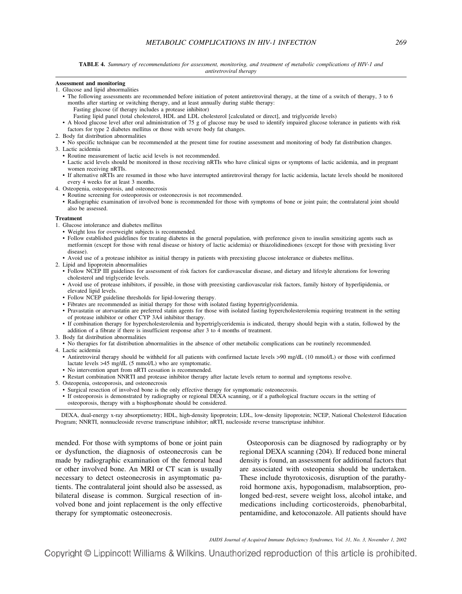## **Assessment and monitoring**

1. Glucose and lipid abnormalities

- The following assessments are recommended before initiation of potent antiretroviral therapy, at the time of a switch of therapy, 3 to 6 months after starting or switching therapy, and at least annually during stable therapy:
	- Fasting glucose (if therapy includes a protease inhibitor)
	- Fasting lipid panel (total cholesterol, HDL and LDL cholesterol [calculated or direct], and triglyceride levels)
- A blood glucose level after oral administration of 75 g of glucose may be used to identify impaired glucose tolerance in patients with risk factors for type 2 diabetes mellitus or those with severe body fat changes.
- 2. Body fat distribution abnormalities
- No specific technique can be recommended at the present time for routine assessment and monitoring of body fat distribution changes. 3. Lactic acidemia
	- Routine measurement of lactic acid levels is not recommended.
	- Lactic acid levels should be monitored in those receiving nRTIs who have clinical signs or symptoms of lactic acidemia, and in pregnant women receiving nRTIs.
	- If alternative nRTIs are resumed in those who have interrupted antiretroviral therapy for lactic acidemia, lactate levels should be monitored every 4 weeks for at least 3 months.
- 4. Osteopenia, osteoporosis, and osteonecrosis
	- Routine screening for osteoporosis or osteonecrosis is not recommended.
	- Radiographic examination of involved bone is recommended for those with symptoms of bone or joint pain; the contralateral joint should also be assessed.

#### **Treatment**

- 1. Glucose intolerance and diabetes mellitus
	- Weight loss for overweight subjects is recommended.
	- Follow established guidelines for treating diabetes in the general population, with preference given to insulin sensitizing agents such as metformin (except for those with renal disease or history of lactic acidemia) or thiazolidinediones (except for those with prexisting liver disease).
	- Avoid use of a protease inhibitor as initial therapy in patients with preexisting glucose intolerance or diabetes mellitus.

2. Lipid and lipoprotein abnormalities

- Follow NCEP III guidelines for assessment of risk factors for cardiovascular disease, and dietary and lifestyle alterations for lowering cholesterol and triglyceride levels.
- Avoid use of protease inhibitors, if possible, in those with preexisting cardiovascular risk factors, family history of hyperlipidemia, or elevated lipid levels.
- Follow NCEP guideline thresholds for lipid-lowering therapy.
- Fibrates are recommended as initial therapy for those with isolated fasting hypertriglyceridemia.
- Pravastatin or atorvastatin are preferred statin agents for those with isolated fasting hypercholesterolemia requiring treatment in the setting of protease inhibitor or other CYP 3A4 inhibitor therapy.
- If combination therapy for hypercholesterolemia and hypertriglyceridemia is indicated, therapy should begin with a statin, followed by the addition of a fibrate if there is insufficient response after 3 to 4 months of treatment.
- 3. Body fat distribution abnormalities
- No therapies for fat distribution abnormalities in the absence of other metabolic complications can be routinely recommended.
- 4. Lactic acidemia
	- Antiretroviral therapy should be withheld for all patients with confirmed lactate levels >90 mg/dL (10 mmol/L) or those with confirmed lactate levels >45 mg/dL (5 mmol/L) who are symptomatic.
	- No intervention apart from nRTI cessation is recommended.
	- Restart combination NNRTI and protease inhibitor therapy after lactate levels return to normal and symptoms resolve.
- 5. Osteopenia, osteoporosis, and osteonecrosis
	- Surgical resection of involved bone is the only effective therapy for symptomatic osteonecrosis.
	- If osteoporosis is demonstrated by radiography or regional DEXA scanning, or if a pathological fracture occurs in the setting of osteoporosis, therapy with a bisphosphonate should be considered.

DEXA, dual-energy x-ray absorptiometry; HDL, high-density lipoprotein; LDL, low-density lipoprotein; NCEP, National Cholesterol Education Program; NNRTI, nonnucleoside reverse transcriptase inhibitor; nRTI, nucleoside reverse transcriptase inhibitor.

mended. For those with symptoms of bone or joint pain or dysfunction, the diagnosis of osteonecrosis can be made by radiographic examination of the femoral head or other involved bone. An MRI or CT scan is usually necessary to detect osteonecrosis in asymptomatic patients. The contralateral joint should also be assessed, as bilateral disease is common. Surgical resection of involved bone and joint replacement is the only effective therapy for symptomatic osteonecrosis.

Osteoporosis can be diagnosed by radiography or by regional DEXA scanning (204). If reduced bone mineral density is found, an assessment for additional factors that are associated with osteopenia should be undertaken. These include thyrotoxicosis, disruption of the parathyroid hormone axis, hypogonadism, malabsorption, prolonged bed-rest, severe weight loss, alcohol intake, and medications including corticosteroids, phenobarbital, pentamidine, and ketoconazole. All patients should have

*JAIDS Journal of Acquired Immune Deficiency Syndromes, Vol. 31, No. 3, November 1, 2002*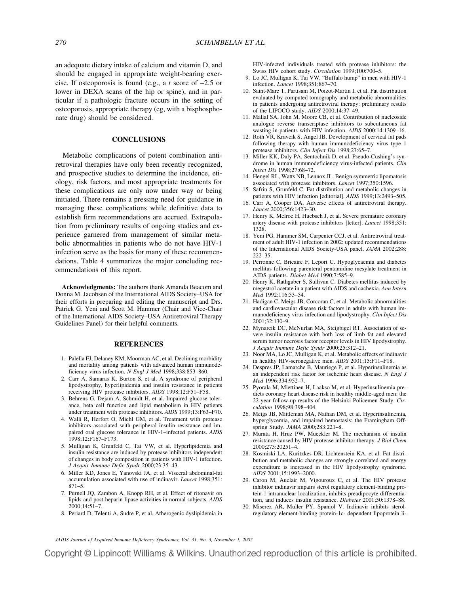an adequate dietary intake of calcium and vitamin D, and should be engaged in appropriate weight-bearing exercise. If osteoporosis is found (e.g., a *t* score of −2.5 or lower in DEXA scans of the hip or spine), and in particular if a pathologic fracture occurs in the setting of osteoporosis, appropriate therapy (eg, with a bisphosphonate drug) should be considered.

# **CONCLUSIONS**

Metabolic complications of potent combination antiretroviral therapies have only been recently recognized, and prospective studies to determine the incidence, etiology, risk factors, and most appropriate treatments for these complications are only now under way or being initiated. There remains a pressing need for guidance in managing these complications while definitive data to establish firm recommendations are accrued. Extrapolation from preliminary results of ongoing studies and experience garnered from management of similar metabolic abnormalities in patients who do not have HIV-1 infection serve as the basis for many of these recommendations. Table 4 summarizes the major concluding recommendations of this report.

**Acknowledgments:** The authors thank Amanda Beacom and Donna M. Jacobsen of the International AIDS Society–USA for their efforts in preparing and editing the manuscript and Drs. Patrick G. Yeni and Scott M. Hammer (Chair and Vice-Chair of the International AIDS Society–USA Antiretroviral Therapy Guidelines Panel) for their helpful comments.

#### **REFERENCES**

- 1. Palella FJ, Delaney KM, Moorman AC, et al. Declining morbidity and mortality among patients with advanced human immunodeficiency virus infection. *N Engl J Med* 1998;338:853–860.
- 2. Carr A, Samaras K, Burton S, et al. A syndrome of peripheral lipodystrophy, hyperlipidemia and insulin resistance in patients receiving HIV protease inhibitors. *AIDS* 1998;12:F51–F58.
- 3. Behrens G, Dejam A, Schmidt H, et al. Impaired glucose tolerance, beta cell function and lipid metabolism in HIV patients under treatment with protease inhibitors. *AIDS* 1999;13:F63–F70.
- 4. Walli R, Herfort O, Michl GM, et al. Treatment with protease inhibitors associated with peripheral insulin resistance and impaired oral glucose tolerance in HIV-1–infected patients. *AIDS* 1998;12:F167–F173.
- 5. Mulligan K, Grunfeld C, Tai VW, et al. Hyperlipidemia and insulin resistance are induced by protease inhibitors independent of changes in body composition in patients with HIV-1 infection. *J Acquir Immune Defic Syndr* 2000;23:35–43.
- 6. Miller KD, Jones E, Yanovski JA, et al. Visceral abdominal-fat accumulation associated with use of indinavir. *Lancet* 1998;351: 871–5.
- 7. Purnell JQ, Zambon A, Knopp RH, et al. Effect of ritonavir on lipids and post-heparin lipase activities in normal subjects. *AIDS* 2000;14:51–7.
- 8. Periard D, Telenti A, Sudre P, et al. Atherogenic dyslipidemia in

HIV-infected individuals treated with protease inhibitors: the Swiss HIV cohort study. *Circulation* 1999;100:700–5.

- 9. Lo JC, Mulligan K, Tai VW, "Buffalo hump" in men with HIV-1 infection. *Lancet* 1998;351:867–70.
- 10. Saint-Marc T, Partisani M, Poizot-Martin I, et al. Fat distribution evaluated by computed tomography and metabolic abnormalities in patients undergoing antiretroviral therapy: preliminary results of the LIPOCO study. *AIDS* 2000;14:37–49.
- 11. Mallal SA, John M, Moore CB, et al. Contribution of nucleoside analogue reverse transcriptase inhibitors to subcutaneous fat wasting in patients with HIV infection. *AIDS* 2000;14:1309–16.
- 12. Roth VR, Kravcik S, Angel JB. Development of cervical fat pads following therapy with human immunodeficiency virus type 1 protease inhibitors. *Clin Infect Dis* 1998;27:65–7.
- 13. Miller KK, Daly PA, Sentochnik D, et al. Pseudo-Cushing's syndrome in human immunodeficiency virus-infected patients. *Clin Infect Dis* 1998;27:68–72.
- 14. Hengel RL, Watts NB, Lennox JL. Benign symmetric lipomatosis associated with protease inhibitors. *Lancet* 1997;350:1596.
- 15. Safrin S, Grunfeld C. Fat distribution and metabolic changes in patients with HIV infection [editorial]. *AIDS* 1999;13:2493–505.
- 16. Carr A, Cooper DA. Adverse effects of antiretroviral therapy. *Lancet* 2000;356:1423–30.
- 17. Henry K, Melroe H, Huebsch J, et al. Severe premature coronary artery disease with protease inhibitors [letter]. *Lancet* 1998;351: 1328.
- 18. Yeni PG, Hammer SM, Carpenter CCJ, et al. Antiretroviral treatment of adult HIV-1 infection in 2002: updated recommendations of the International AIDS Society-USA panel. *JAMA* 2002;288: 222–35.
- 19. Perronne C, Bricaire F, Leport C. Hypoglycaemia and diabetes mellitus following parenteral pentamidine mesylate treatment in AIDS patients. *Diabet Med* 1990;7:585–9.
- 20. Henry K, Rathgaber S, Sullivan C. Diabetes mellitus induced by megestrol acetate in a patient with AIDS and cachexia. *Ann Intern Med* 1992;116:53–54.
- 21. Hadigan C, Meigs JB, Corcoran C, et al. Metabolic abnormalities and cardiovascular disease risk factors in adults with human immunodeficiency virus infection and lipodystrophy. *Clin Infect Dis* 2001;32:130–9.
- 22. Mynarcik DC, McNurlan MA, Steigbigel RT. Association of severe insulin resistance with both loss of limb fat and elevated serum tumor necrosis factor receptor levels in HIV lipodystrophy. *J Acquir Immune Defic Syndr* 2000;25:312–21.
- 23. Noor MA, Lo JC, Mulligan K, et al. Metabolic effects of indinavir in healthy HIV-seronegative men. *AIDS* 2001;15:F11–F18.
- 24. Despres JP, Lamarche B, Mauriege P, et al. Hyperinsulinemia as an independent risk factor for ischemic heart disease. *N Engl J Med* 1996;334:952–7.
- 25. Pyorala M, Miettinen H, Laakso M, et al. Hyperinsulinemia predicts coronary heart disease risk in healthy middle-aged men: the 22-year follow-up results of the Helsinki Policemen Study. *Circulation* 1998;98:398–404.
- 26. Meigs JB, Mittleman MA, Nathan DM, et al. Hyperinsulinemia, hyperglycemia, and impaired hemostasis: the Framingham Offspring Study. *JAMA* 2000;283:221–8.
- 27. Murata H, Hruz PW, Mueckler M. The mechanism of insulin resistance caused by HIV protease inhibitor therapy. *J Biol Chem* 2000;275:20251–4.
- 28. Kosmiski LA, Kuritzkes DR, Lichtenstein KA, et al. Fat distribution and metabolic changes are strongly correlated and energy expenditure is increased in the HIV lipodystrophy syndrome. *AIDS* 2001;15:1993–2000.
- 29. Caron M, Auclair M, Vigouroux C, et al. The HIV protease inhibitor indinavir impairs sterol regulatory element-binding protein-1 intranuclear localization, inhibits preadipocyte differentiation, and induces insulin resistance. *Diabetes* 2001;50:1378–88.
- 30. Miserez AR, Muller PY, Spaniol V. Indinavir inhibits sterolregulatory element-binding protein-1c- dependent lipoprotein li-

*JAIDS Journal of Acquired Immune Deficiency Syndromes, Vol. 31, No. 3, November 1, 2002*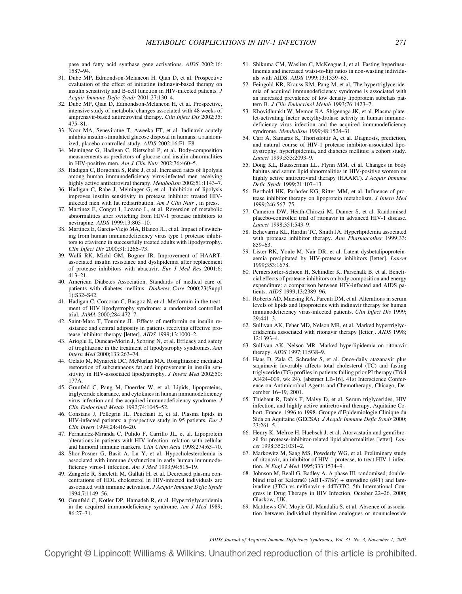pase and fatty acid synthase gene activations. *AIDS* 2002;16: 1587–94.

- 31. Dube MP, Edmondson-Melancon H, Qian D, et al. Prospective evaluation of the effect of initiating indinavir-based therapy on insulin sensitivity and B-cell function in HIV-infected patients. *J Acquir Immune Defic Syndr* 2001;27:130–4.
- 32. Dube MP, Qian D, Edmondson-Melancon H, et al. Prospective, intensive study of metabolic changes associated with 48 weeks of amprenavir-based antiretroviral therapy. *Clin Infect Dis* 2002;35: 475–81.
- 33. Noor MA, Seneviratne T, Aweeka FT, et al. Indinavir acutely inhibits insulin-stimulated glucose disposal in humans: a randomized, placebo-controlled study. *AIDS* 2002;16:F1–F8.
- 34. Meininger G, Hadigan C, Rietschel P, et al. Body-composition measurements as predictors of glucose and insulin abnormalities in HIV-positive men. *Am J Clin Nutr* 2002;76:460–5.
- 35. Hadigan C, Borgonha S, Rabe J, et al. Increased rates of lipolysis among human immunodeficiency virus-infected men receiving highly active antiretroviral therapy. *Metabolism* 2002;51:1143–7.
- 36. Hadigan C, Rabe J, Meininger G, et al. Inhibition of lipolysis improves insulin sensitivity in protease inhibitor treated HIVinfected men with fat redistribution. *Am J Clin Nutr* , in press.
- 37. Martinez E, Conget I, Lozano L, et al. Reversion of metabolic abnormalities after switching from HIV-1 protease inhibitors to nevirapine. *AIDS* 1999;13:805–10.
- 38. Martinez E, Garcia-Viejo MA, Blanco JL, et al. Impact of switching from human immunodeficiency virus type 1 protease inhibitors to efavirenz in successfully treated adults with lipodystrophy. *Clin Infect Dis* 2000;31:1266–73.
- 39. Walli RK, Michl GM, Bogner JR. Improvement of HAARTassociated insulin resistance and dyslipidemia after replacement of protease inhibitors with abacavir. *Eur J Med Res* 2001;6: 413–21.
- 40. American Diabetes Association. Standards of medical care of patients with diabetes mellitus. *Diabetes Care* 2000;23(Suppl 1):S32–S42.
- 41. Hadigan C, Corcoran C, Basgoz N, et al. Metformin in the treatment of HIV lipodystrophy syndrome: a randomized controlled trial. *JAMA* 2000;284:472–7.
- 42. Saint-Marc T, Touraine JL. Effects of metformin on insulin resistance and central adiposity in patients receiving effective protease inhibitor therapy [letter]. *AIDS* 1999;13:1000–2.
- 43. Arioglu E, Duncan-Morin J, Sebring N, et al. Efficacy and safety of troglitazone in the treatment of lipodystrophy syndromes. *Ann Intern Med* 2000;133:263–74.
- 44. Gelato M, Mynarcik DC, McNurlan MA. Rosiglitazone mediated restoration of subcutaneous fat and improvement in insulin sensitivity in HIV-associated lipodystrophy. *J Invest Med* 2002;50: 177A.
- 45. Grunfeld C, Pang M, Doerrler W, et al. Lipids, lipoproteins, triglyceride clearance, and cytokines in human immunodeficiency virus infection and the acquired immunodeficiency syndrome. *J Clin Endocrinol Metab* 1992;74:1045–52.
- 46. Constans J, Pellegrin JL, Peuchant E, et al. Plasma lipids in HIV-infected patients: a prospective study in 95 patients. *Eur J Clin Invest* 1994;24:416–20.
- 47. Fernandez-Miranda C, Pulido F, Carrillo JL, et al. Lipoprotein alterations in patients with HIV infection: relation with cellular and humoral immune markers. *Clin Chim Acta* 1998;274:63–70.
- 48. Shor-Posner G, Basit A, Lu Y, et al. Hypocholesterolemia is associated with immune dysfunction in early human immunodeficiency virus-1 infection. *Am J Med* 1993;94:515–19.
- 49. Zangerle R, Sarcletti M, Gallati H, et al. Decreased plasma concentrations of HDL cholesterol in HIV-infected individuals are associated with immune activation. *J Acquir Immune Defic Syndr* 1994;7:1149–56.
- 50. Grunfeld C, Kotler DP, Hamadeh R, et al. Hypertriglyceridemia in the acquired immunodeficiency syndrome. *Am J Med* 1989; 86:27–31.
- 51. Shikuma CM, Waslien C, McKeague J, et al. Fasting hyperinsulinemia and increased waist-to-hip ratios in non-wasting individuals with AIDS. *AIDS* 1999;13:1359–65.
- 52. Feingold KR, Krauss RM, Pang M, et al. The hypertriglyceridemia of acquired immunodeficiency syndrome is associated with an increased prevalence of low density lipoprotein subclass pattern B. *J Clin Endocrinol Metab* 1993;76:1423–7.
- 53. Khovidhunkit W, Memon RA, Shigenaga JK, et al. Plasma platelet-activating factor acetylhydrolase activity in human immunodeficiency virus infection and the acquired immunodeficiency syndrome. *Metabolism* 1999;48:1524–31.
- 54. Carr A, Samaras K, Thorisdottir A, et al. Diagnosis, prediction, and natural course of HIV-1 protease inhibitor-associated lipodystrophy, hyperlipidemia, and diabetes mellitus: a cohort study. *Lancet* 1999;353:2093–9.
- 55. Dong KL, Bausserman LL, Flynn MM, et al. Changes in body habitus and serum lipid abnormalities in HIV-positive women on highly active antiretroviral therapy (HAART). *J Acquir Immune Defic Syndr* 1999;21:107–13.
- 56. Berthold HK, Parhofer KG, Ritter MM, et al. Influence of protease inhibitor therapy on lipoprotein metabolism. *J Intern Med* 1999;246:567–75.
- 57. Cameron DW, Heath-Chiozzi M, Danner S, et al. Randomised placebo-controlled trial of ritonavir in advanced HIV-1 disease. *Lancet* 1998;351:543–9.
- 58. Echevarria KL, Hardin TC, Smith JA. Hyperlipidemia associated with protease inhibitor therapy. *Ann Pharmacother* 1999;33: 859–63.
- 59. Lister RK, Youle M, Nair DR, et al. Latent dysbetalipoproteinaemia precipitated by HIV-protease inhibitors [letter]. *Lancet* 1999;353:1678.
- 60. Pernerstorfer-Schoen H, Schindler K, Parschalk B, et al. Beneficial effects of protease inhibitors on body composition and energy expenditure: a comparison between HIV-infected and AIDS patients. *AIDS* 1999;13:2389–96.
- 61. Roberts AD, Muesing RA, Parenti DM, et al. Alterations in serum levels of lipids and lipoproteins with indinavir therapy for human immunodeficiency virus-infected patients. *Clin Infect Dis* 1999; 29:441–3.
- 62. Sullivan AK, Feher MD, Nelson MR, et al. Marked hypertriglyceridaemia associated with ritonavir therapy [letter]. *AIDS* 1998; 12:1393–4.
- 63. Sullivan AK, Nelson MR. Marked hyperlipidemia on ritonavir therapy. *AIDS* 1997;11:938–9.
- 64. Haas D, Zala C, Schrader S, et al. Once-daily atazanavir plus saquinavir favorably affects total cholesterol (TC) and fasting triglyceride (TG) profiles in patients failing prior PI therapy (Trial AI424–009, wk 24). [abstract LB-16]. 41st Interscience Conference on Antimicrobial Agents and Chemotherapy, Chicago, December 16–19, 2001.
- 65. Thiebaut R, Dabis F, Malvy D, et al. Serum triglycerides, HIV infection, and highly active antiretroviral therapy, Aquitaine Cohort, France, 1996 to 1998. Groupe d'Epidemiologie Clinique du Sida en Aquitaine (GECSA). *J Acquir Immune Defic Syndr* 2000;  $23:261 - 5$ .
- 66. Henry K, Melroe H, Huebsch J, et al. Atorvastatin and gemfibrozil for protease-inhibitor-related lipid abnormalities [letter]. *Lancet* 1998;352:1031–2.
- 67. Markowitz M, Saag MS, Powderly WG, et al. Preliminary study of ritonavir, an inhibitor of HIV-1 protease, to treat HIV-1 infection. *N Engl J Med* 1995;333:1534–9.
- 68. Johnson M, Beall G, Badley A. A phase III, randomised, doubleblind trial of Kaletra® (ABT-378/r) + stavudine (d4T) and lamivudine (3TC) vs nelfinavir + d4T/3TC. 5th International Congress in Drug Therapy in HIV Infection. October 22–26, 2000; Glaskow, UK.
- 69. Matthews GV, Moyle GJ, Mandalia S, et al. Absence of association between individual thymidine analogues or nonnucleoside

*JAIDS Journal of Acquired Immune Deficiency Syndromes, Vol. 31, No. 3, November 1, 2002*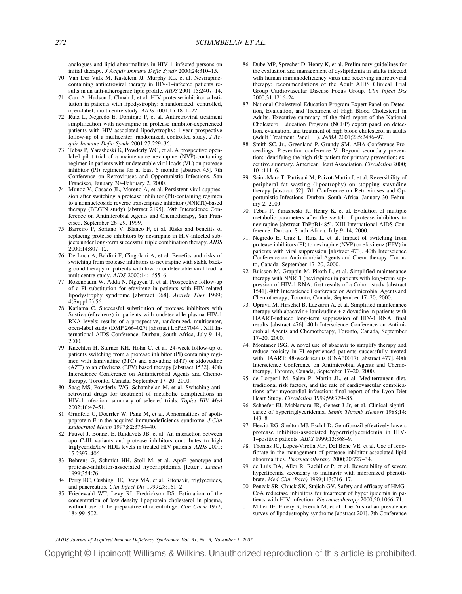analogues and lipid abnormalities in HIV-1–infected persons on initial therapy. *J Acquir Immune Defic Syndr* 2000;24:310–15.

- 70. Van Der Valk M, Kastelein JJ, Murphy RL, et al. Nevirapinecontaining antiretroviral therapy in HIV-1–infected patients results in an anti-atherogenic lipid profile. *AIDS* 2001;15:2407–14.
- 71. Carr A, Hudson J, Chuah J, et al. HIV protease inhibitor substitution in patients with lipodystrophy: a randomized, controlled, open-label, multicentre study. *AIDS* 2001;15:1811–22.
- 72. Ruiz L, Negredo E, Domingo P, et al. Antiretroviral treatment simplification with nevirapine in protease inhibitor-experienced patients with HIV-associated lipodystrophy: 1-year prospective follow-up of a multicenter, randomized, controlled study. *J Acquir Immune Defic Syndr* 2001;27:229–36.
- 73. Tebas P, Yarasheski K, Powderly WG, et al. A prospective openlabel pilot trial of a maintenance nevirapine (NVP)-containing regimen in patients with undetectable viral loads (VL) on protease inhibitor (PI) regimens for at least 6 months [abstract 45]. 7th Conference on Retroviruses and Opportunistic Infections, San Francisco, January 30–February 2, 2000.
- 74. Munoz V, Casado JL, Moreno A, et al. Persistent viral suppression after switching a protease inhibitor (PI)-containing regimen to a nonnucleoside reverse transcriptase inhibitor (NNRTI)-based therapy (BEGIN study) [abstract 2195]. 39th Interscience Conference on Antimicrobial Agents and Chemotherapy, San Francisco, September 26–29, 1999.
- 75. Barreiro P, Soriano V, Blanco F, et al. Risks and benefits of replacing protease inhibitors by nevirapine in HIV-infected subjects under long-term successful triple combination therapy. *AIDS* 2000;14:807–12.
- 76. De Luca A, Baldini F, Cingolani A, et al. Benefits and risks of switching from protease inhibitors to nevirapine with stable background therapy in patients with low or undetectable viral load: a multicentre study. *AIDS* 2000;14:1655–6.
- 77. Rozenbaum W, Adda N, Nguyen T, et al. Prospective follow-up of a PI substitution for efavirenz in patients with HIV-related lipodystrophy syndrome [abstract 068]. *Antivir Ther* 1999; 4(Suppl 2):56.
- 78. Katlama C. Successful substitution of protease inhibitors with Sustiva (efavirenz) in patients with undetectable plasma HIV-1 RNA levels: results of a prospective, randomized, multicenter, open-label study (DMP 266–027) [abstract LbPeB7044]. XIII International AIDS Conference, Durban, South Africa, July 9–14, 2000.
- 79. Knechten H, Sturner KH, Hohn C, et al. 24-week follow-up of patients switching from a protease inhibitor (PI) containing regimen with lamivudine (3TC) and stavudine (d4T) or zidovudine (AZT) to an efavirenz (EFV) based therapy [abstract 1532]. 40th Interscience Conference on Antimicrobial Agents and Chemotherapy, Toronto, Canada, September 17–20, 2000.
- 80. Saag MS, Powderly WG, Schambelan M, et al. Switching antiretroviral drugs for treatment of metabolic complications in HIV-1 infection: summary of selected trials. *Topics HIV Med* 2002;10:47–51.
- 81. Grunfeld C, Doerrler W, Pang M, et al. Abnormalities of apolipoprotein E in the acquired immunodeficiency syndrome. *J Clin Endocrinol Metab* 1997;82:3734–40.
- 82. Fauvel J, Bonnet E, Ruidavets JB, et al. An interaction between apo C-III variants and protease inhibitors contributes to high triglyceride/low HDL levels in treated HIV patients. *AIDS* 2001; 15:2397–406.
- 83. Behrens G, Schmidt HH, Stoll M, et al. ApoE genotype and protease-inhibitor-associated hyperlipidemia [letter]. *Lancet* 1999;354:76.
- 84. Perry RC, Cushing HE, Deeg MA, et al. Ritonavir, triglycerides, and pancreatitis. *Clin Infect Dis* 1999;28:161–2.
- 85. Friedewald WT, Levy RI, Fredrickson DS. Estimation of the concentration of low-density lipoprotein cholesterol in plasma, without use of the preparative ultracentrifuge. *Clin Chem* 1972; 18:499–502.
- 86. Dube MP, Sprecher D, Henry K, et al. Preliminary guidelines for the evaluation and management of dyslipidemia in adults infected with human immunodeficiency virus and receiving antiretroviral therapy: recommendations of the Adult AIDS Clinical Trial Group Cardiovascular Disease Focus Group. *Clin Infect Dis* 2000;31:1216–24.
- 87. National Cholesterol Education Program Expert Panel on Detection, Evaluation, and Treatment of High Blood Cholesterol in Adults. Executive summary of the third report of the National Cholesterol Education Program (NCEP) expert panel on detection, evaluation, and treatment of high blood cholesterol in adults (Adult Treatment Panel III). *JAMA* 2001;285:2486–97.
- 88. Smith SC, Jr., Greenland P, Grundy SM. AHA Conference Proceedings. Prevention conference V: Beyond secondary prevention: identifying the high-risk patient for primary prevention: executive summary. American Heart Association. *Circulation* 2000; 101:111–6.
- 89. Saint-Marc T, Partisani M, Poizot-Martin I, et al. Reversibility of peripheral fat wasting (lipoatrophy) on stopping stavudine therapy [abstract 52]. 7th Conference on Retroviruses and Opportunistic Infections, Durban, South Africa, January 30–February 2, 2000.
- 90. Tebas P, Yarasheski K, Henry K, et al. Evolution of multiple metabolic parameters after the switch of protease inhibitors to nevirapine [abstract ThPpB1485]. XIII International AIDS Conference, Durban, South Africa, July 9–14, 2000.
- 91. Negredo E, Cruz L, Ruiz L, et al. Impact of switching from protease inhibitors (PI) to nevirapine (NVP) or efavirenz (EFV) in patients with viral suppression [abstract 473]. 40th Interscience Conference on Antimicrobial Agents and Chemotherapy, Toronto, Canada, September 17–20, 2000.
- 92. Buisson M, Grappin M, Piroth L, et al. Simplified maintenance therapy with NNRTI (nevirapine) in patients with long-term suppression of HIV-1 RNA: first results of a Cohort study [abstract 1541]. 40th Interscience Conference on Antimicrobial Agents and Chemotherapy, Toronto, Canada, September 17–20, 2000.
- 93. Opravil M, Hirschel B, Lazzarin A, et al. Simplified maintenance therapy with abacavir + lamivudine + zidovudine in patients with HAART-induced long-term suppression of HIV-1 RNA: final results [abstract 476]. 40th Interscience Conference on Antimicrobial Agents and Chemotherapy, Toronto, Canada, September 17–20, 2000.
- 94. Montaner JSG. A novel use of abacavir to simplify therapy and reduce toxicity in PI experienced patients successfully treated with HAART: 48-week results (CNA30017) [abstract 477]. 40th Interscience Conference on Antimicrobial Agents and Chemotherapy, Toronto, Canada, September 17–20, 2000.
- 95. de Lorgeril M, Salen P, Martin JL, et al. Mediterranean diet, traditional risk factors, and the rate of cardiovascular complications after myocardial infarction: final report of the Lyon Diet Heart Study. *Circulation* 1999;99:779–85.
- 96. Schaefer EJ, McNamara JR, Genest J Jr, et al. Clinical significance of hypertriglyceridemia. *Semin Thromb Hemost* 1988;14: 143–8.
- 97. Hewitt RG, Shelton MJ, Esch LD. Gemfibrozil effectively lowers protease inhibitor-associated hypertriglyceridemia in HIV-1–positive patients. *AIDS* 1999;13:868–9.
- 98. Thomas JC, Lopes-Virella MF, Del Bene VE, et al. Use of fenofibrate in the management of protease inhibitor-associated lipid abnormalities. *Pharmacotherapy* 2000;20:727–34.
- 99. de Luis DA, Aller R, Rachiller P, et al. Reversibility of severe hyperlipemia secondary to indinavir with micronized phenofibrate. *Med Clin (Barc)* 1999;113:716–17.
- 100. Penzak SR, Chuck SK, Stajich GV. Safety and efficacy of HMG-CoA reductase inhibitors for treatment of hyperlipidemia in patients with HIV infection. *Pharmacotherapy* 2000;20:1066–71.
- 101. Miller JE, Emery S, French M, et al. The Australian prevalence survey of lipodystrophy syndrome [abstract 201]. 7th Conference

*JAIDS Journal of Acquired Immune Deficiency Syndromes, Vol. 31, No. 3, November 1, 2002*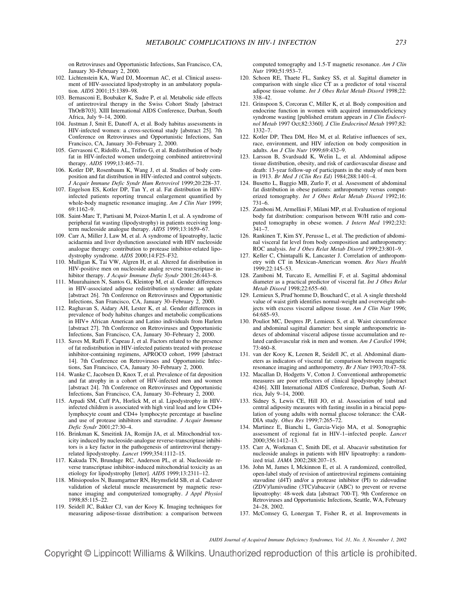on Retroviruses and Opportunistic Infections, San Francisco, CA, January 30–February 2, 2000.

- 102. Lichtenstein KA, Ward DJ, Moorman AC, et al. Clinical assessment of HIV-associated lipodystrophy in an ambulatory population. *AIDS* 2001;15:1389–98.
- 103. Bernasconi E, Boubaker K, Sudre P, et al. Metabolic side effects of antiretroviral therapy in the Swiss Cohort Study [abstract ThOrB703]. XIII International AIDS Conference, Durban, South Africa, July 9–14, 2000.
- 104. Justman J, Smit E, Danoff A, et al. Body habitus assessments in HIV-infected women: a cross-sectional study [abstract 25]. 7th Conference on Retroviruses and Opportunistic Infections, San Francisco, CA, January 30–February 2, 2000.
- 105. Gervasoni C, Ridolfo AL, Trifiro G, et al. Redistribution of body fat in HIV-infected women undergoing combined antiretroviral therapy. *AIDS* 1999;13:465–71.
- 106. Kotler DP, Rosenbaum K, Wang J, et al. Studies of body composition and fat distribution in HIV-infected and control subjects. *J Acquir Immune Defic Syndr Hum Retrovirol* 1999;20:228–37.
- 107. Engelson ES, Kotler DP, Tan Y, et al. Fat distribution in HIVinfected patients reporting truncal enlargement quantified by whole-body magnetic resonance imaging. *Am J Clin Nutr* 1999; 69:1162–9.
- 108. Saint-Marc T, Partisani M, Poizot-Martin I, et al. A syndrome of peripheral fat wasting (lipodystrophy) in patients receiving longterm nucleoside analogue therapy. *AIDS* 1999;13:1659–67.
- 109. Carr A, Miller J, Law M, et al. A syndrome of lipoatrophy, lactic acidaemia and liver dysfunction associated with HIV nucleoside analogue therapy: contribution to protease inhibitor-related lipodystrophy syndrome. *AIDS* 2000;14:F25–F32.
- 110. Mulligan K, Tai VW, Algren H, et al. Altered fat distribution in HIV-positive men on nucleoside analog reverse transcriptase inhibitor therapy. *J Acquir Immune Defic Syndr* 2001;26:443–8.
- 111. Muurahainen N, Santos G, Kleintop M, et al. Gender differences in HIV-associated adipose redistribution syndrome: an update [abstract 26]. 7th Conference on Retroviruses and Opportunistic Infections, San Francisco, CA, January 30–February 2, 2000.
- 112. Raghavan S, Aidary AH, Lester K, et al. Gender differences in prevalence of body habitus changes and metabolic complications in HIV+ African American and Latino individuals from Harlem [abstract 27]. 7th Conference on Retroviruses and Opportunistic Infections, San Francisco, CA, January 30–February 2, 2000.
- 113. Saves M, Raffi F, Capeau J, et al. Factors related to the presence of fat redistribution in HIV-infected patients treated with protease inhibitor-containing regimens, APROCO cohort, 1999 [abstract 14]. 7th Conference on Retroviruses and Opportunistic Infections, San Francisco, CA, January 30–February 2, 2000.
- 114. Wanke C, Jacobsen D, Knox T, et al. Prevalence of fat deposition and fat atrophy in a cohort of HIV-infected men and women [abstract 24]. 7th Conference on Retroviruses and Opportunistic Infections, San Francisco, CA, January 30–February 2, 2000.
- 115. Arpadi SM, Cuff PA, Horlick M, et al. Lipodystrophy in HIVinfected children is associated with high viral load and low CD4+ lymphocyte count and CD4+ lymphocyte percentage at baseline and use of protease inhibitors and stavudine. *J Acquir Immune Defic Syndr* 2001;27:30–4.
- 116. Brinkman K, Smeitink JA, Romijn JA, et al. Mitochondrial toxicity induced by nucleoside-analogue reverse-transcriptase inhibitors is a key factor in the pathogenesis of antiretroviral therapyrelated lipodystrophy. *Lancet* 1999;354:1112–15.
- 117. Kakuda TN, Brundage RC, Anderson PL, et al. Nucleoside reverse transcriptase inhibitor-induced mitochondrial toxicity as an etiology for lipodystrophy [letter]. *AIDS* 1999;13:2311–12.
- 118. Mitsiopoulos N, Baumgartner RN, Heymsfield SB, et al. Cadaver validation of skeletal muscle measurement by magnetic resonance imaging and computerized tomography. *J Appl Physiol* 1998;85:115–22.
- 119. Seidell JC, Bakker CJ, van der Kooy K. Imaging techniques for measuring adipose-tissue distribution: a comparison between

computed tomography and 1.5-T magnetic resonance. *Am J Clin Nutr* 1990;51:953–7.

- 120. Schoen RE, Thaete FL, Sankey SS, et al. Sagittal diameter in comparison with single slice CT as a predictor of total visceral adipose tissue volume. *Int J Obes Relat Metab Disord* 1998;22: 338–42.
- 121. Grinspoon S, Corcoran C, Miller K, et al. Body composition and endocrine function in women with acquired immunodeficiency syndrome wasting [published erratum appears in *J Clin Endocrinol Metab* 1997 Oct;82:3360]. *J Clin Endocrinol Metab* 1997;82: 1332–7.
- 122. Kotler DP, Thea DM, Heo M, et al. Relative influences of sex, race, environment, and HIV infection on body composition in adults. *Am J Clin Nutr* 1999;69:432–9.
- 123. Larsson B, Svardsudd K, Welin L, et al. Abdominal adipose tissue distribution, obesity, and risk of cardiovascular disease and death: 13-year follow-up of participants in the study of men born in 1913. *Br Med J (Clin Res Ed)* 1984;288:1401–4.
- 124. Busetto L, Baggio MB, Zurlo F, et al. Assessment of abdominal fat distribution in obese patients: anthropometry versus computerized tomography. *Int J Obes Relat Metab Disord* 1992;16: 731–6.
- 125. Zamboni M, Armellini F, Milani MP, et al. Evaluation of regional body fat distribution: comparison between W/H ratio and computed tomography in obese women. *J Intern Med* 1992;232: 341–7.
- 126. Rankinen T, Kim SY, Perusse L, et al. The prediction of abdominal visceral fat level from body composition and anthropometry: ROC analysis. *Int J Obes Relat Metab Disord* 1999;23:801–9.
- 127. Keller C, Chintapalli K, Lancaster J. Correlation of anthropometry with CT in Mexican-American women. *Res Nurs Health* 1999;22:145–53.
- 128. Zamboni M, Turcato E, Armellini F, et al. Sagittal abdominal diameter as a practical predictor of visceral fat. *Int J Obes Relat Metab Disord* 1998;22:655–60.
- 129. Lemieux S, Prud'homme D, Bouchard C, et al. A single threshold value of waist girth identifies normal-weight and overweight subjects with excess visceral adipose tissue. *Am J Clin Nutr* 1996; 64:685–93.
- 130. Pouliot MC, Despres JP, Lemieux S, et al. Waist circumference and abdominal sagittal diameter: best simple anthropometric indexes of abdominal visceral adipose tissue accumulation and related cardiovascular risk in men and women. *Am J Cardiol* 1994; 73:460–8.
- 131. van der Kooy K, Leenen R, Seidell JC, et al. Abdominal diameters as indicators of visceral fat: comparison between magnetic resonance imaging and anthropometry. *Br J Nutr* 1993;70:47–58.
- 132. Macallan D, Hodgetts V, Cotton J. Conventional anthropometric measures are poor reflectors of clinical lipodystrophy [abstract 4246]. XIII International AIDS Conference, Durban, South Africa, July 9–14, 2000.
- 133. Sidney S, Lewis CE, Hill JO, et al. Association of total and central adiposity measures with fasting insulin in a biracial population of young adults with normal glucose tolerance: the CAR-DIA study. *Obes Res* 1999;7:265–72.
- 134. Martinez E, Bianchi L, Garcia-Viejo MA, et al. Sonographic assessment of regional fat in HIV-1–infected people. *Lancet* 2000;356:1412–13.
- 135. Carr A, Workman C, Smith DE, et al. Abacavir substitution for nucleoside analogs in patients with HIV lipoatrophy: a randomized trial. *JAMA* 2002;288:207–15.
- 136. John M, James I, Mckinnon E, et al. A randomized, controlled, open-label study of revision of antiretroviral regimens containing stavudine (d4T) and/or a protease inhibitor (PI) to zidovudine (ZDV)/lamivudine (3TC)/abacavir (ABC) to prevent or reverse lipoatrophy: 48-week data [abstract 700-T]. 9th Conference on Retroviruses and Opportunistic Infections, Seattle, WA, February 24–28, 2002.
- 137. McComsey G, Lonergan T, Fisher R, et al. Improvements in

*JAIDS Journal of Acquired Immune Deficiency Syndromes, Vol. 31, No. 3, November 1, 2002*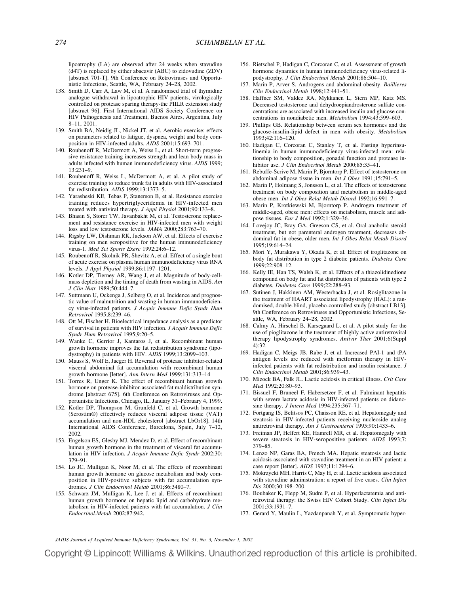lipoatrophy (LA) are observed after 24 weeks when stavudine (d4T) is replaced by either abacavir (ABC) to zidovudine (ZDV) [abstract 701-T]. 9th Conference on Retroviruses and Opportunistic Infections, Seattle, WA, February 24–28, 2002.

- 138. Smith D, Carr A, Law M, et al. A randomised trial of thymidine analogue withdrawal in lipoatrophic HIV patients, virologically controlled on protease sparing therapy-the PIILR extension study [abstract 96]. First International AIDS Society Conference on HIV Pathogenesis and Treatment, Buenos Aires, Argentina, July 8–11, 2001.
- 139. Smith BA, Neidig JL, Nickel JT, et al. Aerobic exercise: effects on parameters related to fatigue, dyspnea, weight and body composition in HIV-infected adults. *AIDS* 2001;15:693–701.
- 140. Roubenoff R, McDermott A, Weiss L, et al. Short-term progressive resistance training increases strength and lean body mass in adults infected with human immunodeficiency virus. *AIDS* 1999; 13:231–9.
- 141. Roubenoff R, Weiss L, McDermott A, et al. A pilot study of exercise training to reduce trunk fat in adults with HIV-associated fat redistribution. *AIDS* 1999;13:1373–5.
- 142. Yarasheski KE, Tebas P, Stanerson B, et al. Resistance exercise training reduces hypertriglyceridemia in HIV-infected men treated with antiviral therapy. *J Appl Physiol* 2001;90:133–8.
- 143. Bhasin S, Storer TW, Javanbakht M, et al. Testosterone replacement and resistance exercise in HIV-infected men with weight loss and low testosterone levels. *JAMA* 2000;283:763–70.
- 144. Rigsby LW, Dishman RK, Jackson AW, et al. Effects of exercise training on men seropositive for the human immunodeficiency virus-1. *Med Sci Sports Exerc* 1992;24:6–12.
- 145. Roubenoff R, Skolnik PR, Shevitz A, et al. Effect of a single bout of acute exercise on plasma human immunodeficiency virus RNA levels. *J Appl Physiol* 1999;86:1197–1201.
- 146. Kotler DP, Tierney AR, Wang J, et al. Magnitude of body-cellmass depletion and the timing of death from wasting in AIDS. *Am J Clin Nutr* 1989;50:444–7.
- 147. Suttmann U, Ockenga J, Selberg O, et al. Incidence and prognostic value of malnutrition and wasting in human immunodeficiency virus-infected patients. *J Acquir Immune Defic Syndr Hum Retrovirol* 1995;8:239–46.
- 148. Ott M, Fischer H. Bioelectrical impedance analysis as a predictor of survival in patients with HIV infection. *J Acquir Immune Defic Syndr Hum Retrovirol* 1995;9:20–5.
- 149. Wanke C, Gerrior J, Kantaros J, et al. Recombinant human growth hormone improves the fat redistribution syndrome (lipodystrophy) in patients with HIV. *AIDS* 1999;13:2099–103.
- 150. Mauss S, Wolf E, Jaeger H. Reversal of protease inhibitor-related visceral abdominal fat accumulation with recombinant human growth hormone [letter]. *Ann Intern Med* 1999;131:313–14
- 151. Torres R, Unger K. The effect of recombinant human growth hormone on protease-inhibitor-associated fat maldistribution syndrome [abstract 675]. 6th Conference on Retroviruses and Opportunistic Infections, Chicago, IL, January 31–February 4, 1999.
- 152. Kotler DP, Thompson M, Grunfeld C, et al. Growth hormone (Serostim®) effectively reduces visceral adipose tissue (VAT) accumulation and non-HDL cholesterol [abstract LbOr18]. 14th International AIDS Conference, Barcelona, Spain, July 7–12, 2002.
- 153. Engelson ES, Glesby MJ, Mendez D, et al. Effect of recombinant human growth hormone in the treatment of visceral fat accumulation in HIV infection. *J Acquir Immune Defic Syndr* 2002;30: 379–91.
- 154. Lo JC, Mulligan K, Noor M, et al. The effects of recombinant human growth hormone on glucose metabolism and body composition in HIV-positive subjects with fat accumulation syndromes. *J Clin Endocrinol Metab* 2001;86:3480–7.
- 155. Schwarz JM, Mulligan K, Lee J, et al. Effects of recombinant human growth hormone on hepatic lipid and carbohydrate metabolism in HIV-infected patients with fat accumulation. *J Clin Endocrinol.Metab* 2002;87:942.
- 156. Rietschel P, Hadigan C, Corcoran C, et al. Assessment of growth hormone dynamics in human immunodeficiency virus-related lipodystrophy. *J Clin Endocrinol Metab* 2001;86:504–10.
- 157. Marin P, Arver S. Androgens and abdominal obesity. *Baillieres Clin Endocrinol Metab* 1998;12:441–51.
- 158. Haffner SM, Valdez RA, Mykkanen L, Stern MP, Katz MS. Decreased testosterone and dehydroepiandrosterone sulfate concentrations are associated with increased insulin and glucose concentrations in nondiabetic men. *Metabolism* 1994;43:599–603.
- 159. Phillips GB. Relationship between serum sex hormones and the glucose-insulin-lipid defect in men with obesity. *Metabolism* 1993;42:116–120.
- 160. Hadigan C, Corcoran C, Stanley T, et al. Fasting hyperinsulinemia in human immunodeficiency virus-infected men: relationship to body composition, gonadal function and protease inhibitor use. *J Clin Endocrinol Metab* 2000;85:35–41.
- 161. Rebuffe-Scrive M, Marin P, Bjorntorp P. Effect of testosterone on abdominal adipose tissue in men. *Int J Obes* 1991;15:791–5.
- 162. Marin P, Holmang S, Jonsson L, et al. The effects of testosterone treatment on body composition and metabolism in middle-aged obese men. *Int J Obes Relat Metab Disord* 1992;16:991–7.
- 163. Marin P, Krotkiewski M, Bjorntorp P. Androgen treatment of middle-aged, obese men: effects on metabolism, muscle and adipose tissues. *Eur J Med* 1992;1:329–36.
- 164. Lovejoy JC, Bray GA, Greeson CS, et al. Oral anabolic steroid treatment, but not parenteral androgen treatment, decreases abdominal fat in obese, older men. *Int J Obes Relat Metab Disord* 1995;19:614–24.
- 165. Mori Y, Murakawa Y, Okada K, et al. Effect of troglitazone on body fat distribution in type 2 diabetic patients. *Diabetes Care* 1999;22:908–12.
- 166. Kelly IE, Han TS, Walsh K, et al. Effects of a thiazolidinedione compound on body fat and fat distribution of patients with type 2 diabetes. *Diabetes Care* 1999;22:288–93.
- 167. Sutinen J, Hakkinen AM, Westerbacka J, et al. Rosiglitazone in the treatment of HAART associated lipodystrophy (HAL): a randomised, double-blind, placebo-controlled study [abstract LB13]. 9th Conference on Retroviruses and Opportunistic Infections, Seattle, WA, February 24–28, 2002.
- 168. Calmy A, Hirschel B, Karsegaard L, et al. A pilot study for the use of pioglitazone in the treatment of highly active antiretroviral therapy lipodystrophy syndromes. *Antivir Ther* 2001;6(Suppl 4):32.
- 169. Hadigan C, Meigs JB, Rabe J, et al. Increased PAI-1 and tPA antigen levels are reduced with metformin therapy in HIVinfected patients with fat redistribution and insulin resistance. *J Clin Endocrinol Metab* 2001;86:939–43.
- 170. Mizock BA, Falk JL. Lactic acidosis in critical illness. *Crit Care Med* 1992;20:80–93.
- 171. Bissuel F, Bruneel F, Habersetzer F, et al. Fulminant hepatitis with severe lactate acidosis in HIV-infected patients on didanosine therapy. *J Intern Med* 1994;235:367–71.
- 172. Fortgang IS, Belitsos PC, Chaisson RE, et al. Hepatomegaly and steatosis in HIV-infected patients receiving nucleoside analog antiretroviral therapy. *Am J Gastroenterol* 1995;90:1433–6.
- 173. Freiman JP, Helfert KE, Hamrell MR, et al. Hepatomegaly with severe steatosis in HIV-seropositive patients. *AIDS* 1993;7: 379–85.
- 174. Lenzo NP, Garas BA, French MA. Hepatic steatosis and lactic acidosis associated with stavudine treatment in an HIV patient: a case report [letter]. *AIDS* 1997;11:1294–6.
- 175. Mokrzycki MH, Harris C, May H, et al. Lactic acidosis associated with stavudine administration: a report of five cases. *Clin Infect Dis* 2000;30:198–200.
- 176. Boubaker K, Flepp M, Sudre P, et al. Hyperlactatemia and antiretroviral therapy: the Swiss HIV Cohort Study. *Clin Infect Dis* 2001;33:1931–7.
- 177. Gerard Y, Maulin L, Yazdanpanah Y, et al. Symptomatic hyper-

*JAIDS Journal of Acquired Immune Deficiency Syndromes, Vol. 31, No. 3, November 1, 2002*